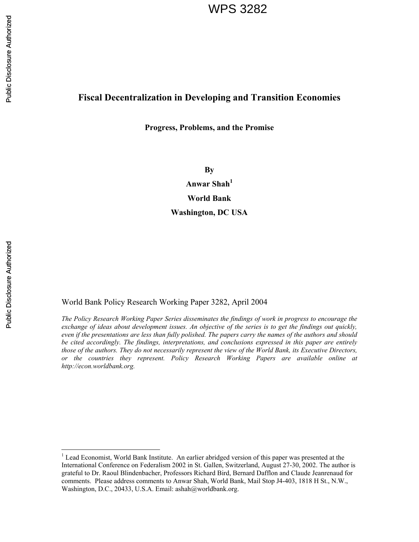# **Fiscal Decentralization in Developing and Transition Economies**

# **Progress, Problems, and the Promise**

**By** 

Anwar Shah<sup>1</sup> **World Bank Washington, DC USA** 

Public Disclosure Authorized Public Disclosure Authorized

 $\overline{a}$ 

World Bank Policy Research Working Paper 3282, April 2004

*The Policy Research Working Paper Series disseminates the findings of work in progress to encourage the exchange of ideas about development issues. An objective of the series is to get the findings out quickly, even if the presentations are less than fully polished. The papers carry the names of the authors and should be cited accordingly. The findings, interpretations, and conclusions expressed in this paper are entirely those of the authors. They do not necessarily represent the view of the World Bank, its Executive Directors, or the countries they represent. Policy Research Working Papers are available online at http://econ.worldbank.org.* 

<sup>&</sup>lt;sup>1</sup> Lead Economist, World Bank Institute. An earlier abridged version of this paper was presented at the International Conference on Federalism 2002 in St. Gallen, Switzerland, August 27-30, 2002. The author is grateful to Dr. Raoul Blindenbacher, Professors Richard Bird, Bernard Dafflon and Claude Jeanrenaud for comments. Please address comments to Anwar Shah, World Bank, Mail Stop J4-403, 1818 H St., N.W., Washington, D.C., 20433, U.S.A. Email: ashah@worldbank.org.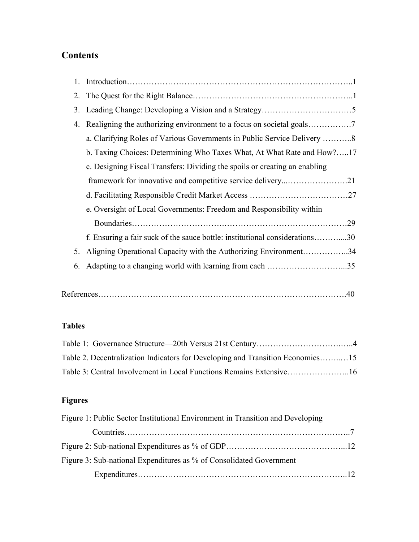# **Contents**

| 1. |                                                                             |
|----|-----------------------------------------------------------------------------|
|    |                                                                             |
| 3. |                                                                             |
| 4. |                                                                             |
|    | a. Clarifying Roles of Various Governments in Public Service Delivery 8     |
|    | b. Taxing Choices: Determining Who Taxes What, At What Rate and How?17      |
|    | c. Designing Fiscal Transfers: Dividing the spoils or creating an enabling  |
|    |                                                                             |
|    |                                                                             |
|    | e. Oversight of Local Governments: Freedom and Responsibility within        |
|    |                                                                             |
|    | f. Ensuring a fair suck of the sauce bottle: institutional considerations30 |
| 5. | Aligning Operational Capacity with the Authorizing Environment34            |
| 6. | Adapting to a changing world with learning from each 35                     |

|--|--|--|

# **Tables**

| Table 2. Decentralization Indicators for Developing and Transition Economies15 |  |
|--------------------------------------------------------------------------------|--|
| Table 3: Central Involvement in Local Functions Remains Extensive16            |  |

# **Figures**

| Figure 1: Public Sector Institutional Environment in Transition and Developing |  |
|--------------------------------------------------------------------------------|--|
|                                                                                |  |
|                                                                                |  |
| Figure 3: Sub-national Expenditures as % of Consolidated Government            |  |
|                                                                                |  |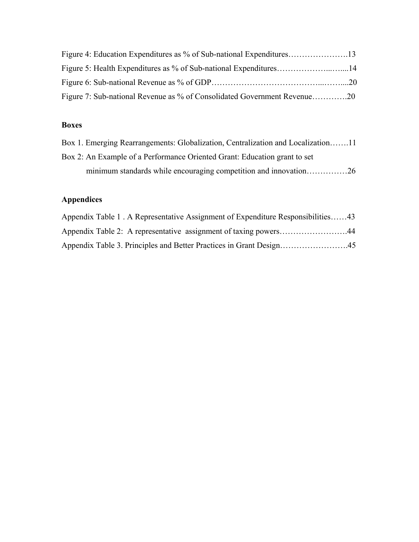| Figure 7: Sub-national Revenue as % of Consolidated Government Revenue20 |  |
|--------------------------------------------------------------------------|--|

# **Boxes**

| Box 1. Emerging Rearrangements: Globalization, Centralization and Localization11 |  |
|----------------------------------------------------------------------------------|--|
| Box 2: An Example of a Performance Oriented Grant: Education grant to set        |  |
| minimum standards while encouraging competition and innovation26                 |  |

# **Appendices**

| Appendix Table 1. A Representative Assignment of Expenditure Responsibilities43 |  |
|---------------------------------------------------------------------------------|--|
| Appendix Table 2: A representative assignment of taxing powers44                |  |
|                                                                                 |  |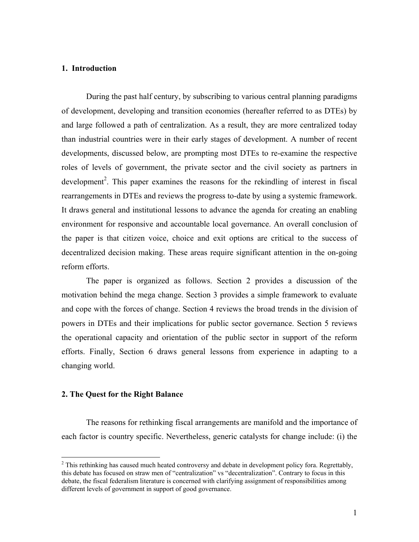# **1. Introduction**

 During the past half century, by subscribing to various central planning paradigms of development, developing and transition economies (hereafter referred to as DTEs) by and large followed a path of centralization. As a result, they are more centralized today than industrial countries were in their early stages of development. A number of recent developments, discussed below, are prompting most DTEs to re-examine the respective roles of levels of government, the private sector and the civil society as partners in development<sup>2</sup>. This paper examines the reasons for the rekindling of interest in fiscal rearrangements in DTEs and reviews the progress to-date by using a systemic framework. It draws general and institutional lessons to advance the agenda for creating an enabling environment for responsive and accountable local governance. An overall conclusion of the paper is that citizen voice, choice and exit options are critical to the success of decentralized decision making. These areas require significant attention in the on-going reform efforts.

 The paper is organized as follows. Section 2 provides a discussion of the motivation behind the mega change. Section 3 provides a simple framework to evaluate and cope with the forces of change. Section 4 reviews the broad trends in the division of powers in DTEs and their implications for public sector governance. Section 5 reviews the operational capacity and orientation of the public sector in support of the reform efforts. Finally, Section 6 draws general lessons from experience in adapting to a changing world.

# **2. The Quest for the Right Balance**

 The reasons for rethinking fiscal arrangements are manifold and the importance of each factor is country specific. Nevertheless, generic catalysts for change include: (i) the

<sup>&</sup>lt;sup>2</sup> This rethinking has caused much heated controversy and debate in development policy fora. Regrettably, this debate has focused on straw men of "centralization" vs "decentralization". Contrary to focus in this debate, the fiscal federalism literature is concerned with clarifying assignment of responsibilities among different levels of government in support of good governance.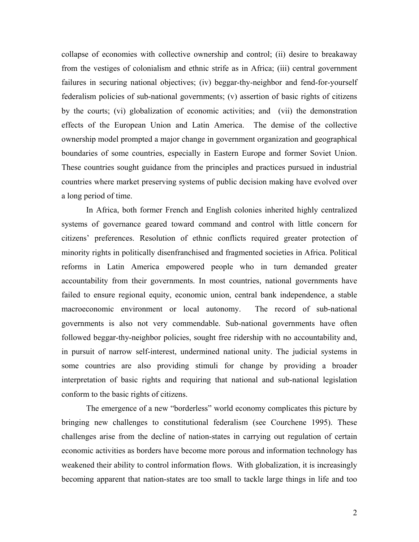collapse of economies with collective ownership and control; (ii) desire to breakaway from the vestiges of colonialism and ethnic strife as in Africa; (iii) central government failures in securing national objectives; (iv) beggar-thy-neighbor and fend-for-yourself federalism policies of sub-national governments; (v) assertion of basic rights of citizens by the courts; (vi) globalization of economic activities; and (vii) the demonstration effects of the European Union and Latin America. The demise of the collective ownership model prompted a major change in government organization and geographical boundaries of some countries, especially in Eastern Europe and former Soviet Union. These countries sought guidance from the principles and practices pursued in industrial countries where market preserving systems of public decision making have evolved over a long period of time.

In Africa, both former French and English colonies inherited highly centralized systems of governance geared toward command and control with little concern for citizens' preferences. Resolution of ethnic conflicts required greater protection of minority rights in politically disenfranchised and fragmented societies in Africa. Political reforms in Latin America empowered people who in turn demanded greater accountability from their governments. In most countries, national governments have failed to ensure regional equity, economic union, central bank independence, a stable macroeconomic environment or local autonomy. The record of sub-national governments is also not very commendable. Sub-national governments have often followed beggar-thy-neighbor policies, sought free ridership with no accountability and, in pursuit of narrow self-interest, undermined national unity. The judicial systems in some countries are also providing stimuli for change by providing a broader interpretation of basic rights and requiring that national and sub-national legislation conform to the basic rights of citizens.

The emergence of a new "borderless" world economy complicates this picture by bringing new challenges to constitutional federalism (see Courchene 1995). These challenges arise from the decline of nation-states in carrying out regulation of certain economic activities as borders have become more porous and information technology has weakened their ability to control information flows. With globalization, it is increasingly becoming apparent that nation-states are too small to tackle large things in life and too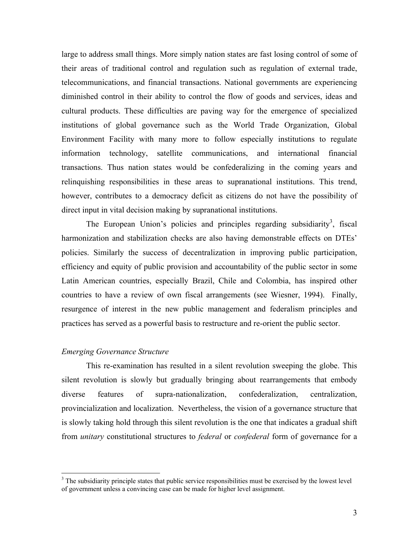large to address small things. More simply nation states are fast losing control of some of their areas of traditional control and regulation such as regulation of external trade, telecommunications, and financial transactions. National governments are experiencing diminished control in their ability to control the flow of goods and services, ideas and cultural products. These difficulties are paving way for the emergence of specialized institutions of global governance such as the World Trade Organization, Global Environment Facility with many more to follow especially institutions to regulate information technology, satellite communications, and international financial transactions. Thus nation states would be confederalizing in the coming years and relinquishing responsibilities in these areas to supranational institutions. This trend, however, contributes to a democracy deficit as citizens do not have the possibility of direct input in vital decision making by supranational institutions.

The European Union's policies and principles regarding subsidiarity<sup>3</sup>, fiscal harmonization and stabilization checks are also having demonstrable effects on DTEs' policies. Similarly the success of decentralization in improving public participation, efficiency and equity of public provision and accountability of the public sector in some Latin American countries, especially Brazil, Chile and Colombia, has inspired other countries to have a review of own fiscal arrangements (see Wiesner, 1994). Finally, resurgence of interest in the new public management and federalism principles and practices has served as a powerful basis to restructure and re-orient the public sector.

# *Emerging Governance Structure*

1

This re-examination has resulted in a silent revolution sweeping the globe. This silent revolution is slowly but gradually bringing about rearrangements that embody diverse features of supra-nationalization, confederalization, centralization, provincialization and localization. Nevertheless, the vision of a governance structure that is slowly taking hold through this silent revolution is the one that indicates a gradual shift from *unitary* constitutional structures to *federal* or *confederal* form of governance for a

 $3$  The subsidiarity principle states that public service responsibilities must be exercised by the lowest level of government unless a convincing case can be made for higher level assignment.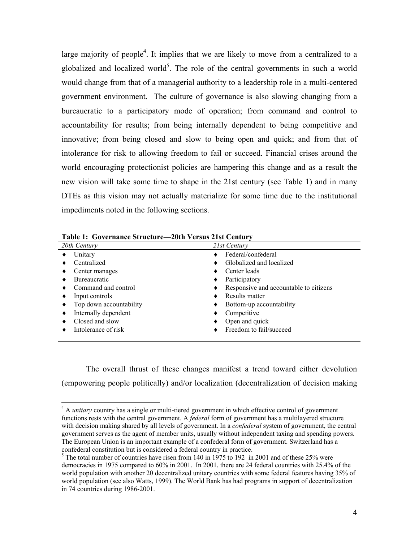large majority of people<sup>4</sup>. It implies that we are likely to move from a centralized to a globalized and localized world<sup>5</sup>. The role of the central governments in such a world would change from that of a managerial authority to a leadership role in a multi-centered government environment. The culture of governance is also slowing changing from a bureaucratic to a participatory mode of operation; from command and control to accountability for results; from being internally dependent to being competitive and innovative; from being closed and slow to being open and quick; and from that of intolerance for risk to allowing freedom to fail or succeed. Financial crises around the world encouraging protectionist policies are hampering this change and as a result the new vision will take some time to shape in the 21st century (see Table 1) and in many DTEs as this vision may not actually materialize for some time due to the institutional impediments noted in the following sections.

| Tabit 1. Obytriantt su attart – zbin Versus 21st Centary |  |                                        |  |  |  |  |  |
|----------------------------------------------------------|--|----------------------------------------|--|--|--|--|--|
| 20th Century                                             |  | 21st Century                           |  |  |  |  |  |
| Unitary                                                  |  | Federal/confederal                     |  |  |  |  |  |
| Centralized                                              |  | Globalized and localized               |  |  |  |  |  |
| Center manages                                           |  | Center leads                           |  |  |  |  |  |
| <b>Bureaucratic</b>                                      |  | Participatory                          |  |  |  |  |  |
| Command and control                                      |  | Responsive and accountable to citizens |  |  |  |  |  |
| Input controls                                           |  | Results matter                         |  |  |  |  |  |
| Top down accountability                                  |  | Bottom-up accountability               |  |  |  |  |  |
| Internally dependent                                     |  | Competitive                            |  |  |  |  |  |
| Closed and slow                                          |  | Open and quick                         |  |  |  |  |  |
| Intolerance of risk                                      |  | Freedom to fail/succeed                |  |  |  |  |  |
|                                                          |  |                                        |  |  |  |  |  |

**Table 1: Governance Structure—20th Versus 21st Century** 

 $\overline{a}$ 

The overall thrust of these changes manifest a trend toward either devolution (empowering people politically) and/or localization (decentralization of decision making

<sup>4</sup> A *unitary* country has a single or multi-tiered government in which effective control of government functions rests with the central government. A *federal* form of government has a multilayered structure with decision making shared by all levels of government. In a *confederal* system of government, the central government serves as the agent of member units, usually without independent taxing and spending powers. The European Union is an important example of a confederal form of government. Switzerland has a confederal constitution but is considered a federal country in practice.

 $5$  The total number of countries have risen from 140 in 1975 to 192 in 2001 and of these 25% were democracies in 1975 compared to 60% in 2001. In 2001, there are 24 federal countries with 25.4% of the world population with another 20 decentralized unitary countries with some federal features having 35% of world population (see also Watts, 1999). The World Bank has had programs in support of decentralization in 74 countries during 1986-2001.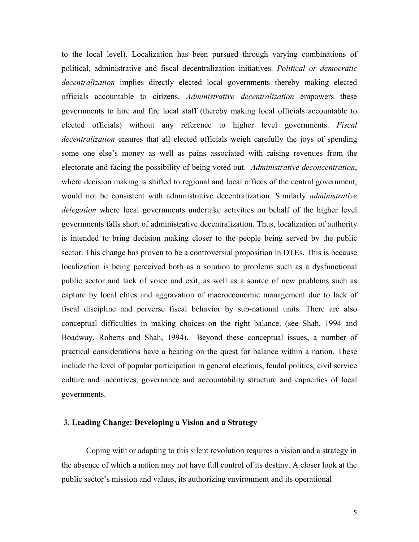to the local level). Localization has been pursued through varying combinations of political, administrative and fiscal decentralization initiatives. *Political or democratic decentralization* implies directly elected local governments thereby making elected officials accountable to citizens. *Administrative decentralization* empowers these governments to hire and fire local staff (thereby making local officials accountable to elected officials) without any reference to higher level governments. *Fiscal decentralization* ensures that all elected officials weigh carefully the joys of spending some one else's money as well as pains associated with raising revenues from the electorate and facing the possibility of being voted out. *Administrative deconcentration*, where decision making is shifted to regional and local offices of the central government, would not be consistent with administrative decentralization. Similarly *administrative delegation* where local governments undertake activities on behalf of the higher level governments falls short of administrative decentralization. Thus, localization of authority is intended to bring decision making closer to the people being served by the public sector. This change has proven to be a controversial proposition in DTEs. This is because localization is being perceived both as a solution to problems such as a dysfunctional public sector and lack of voice and exit, as well as a source of new problems such as capture by local elites and aggravation of macroeconomic management due to lack of fiscal discipline and perverse fiscal behavior by sub-national units. There are also conceptual difficulties in making choices on the right balance. (see Shah, 1994 and Boadway, Roberts and Shah, 1994). Beyond these conceptual issues, a number of practical considerations have a bearing on the quest for balance within a nation. These include the level of popular participation in general elections, feudal politics, civil service culture and incentives, governance and accountability structure and capacities of local governments.

## **3. Leading Change: Developing a Vision and a Strategy**

 Coping with or adapting to this silent revolution requires a vision and a strategy in the absence of which a nation may not have full control of its destiny. A closer look at the public sector's mission and values, its authorizing environment and its operational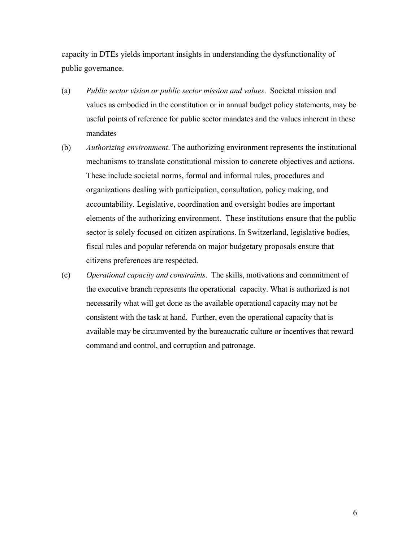capacity in DTEs yields important insights in understanding the dysfunctionality of public governance.

- (a) *Public sector vision or public sector mission and values*. Societal mission and values as embodied in the constitution or in annual budget policy statements, may be useful points of reference for public sector mandates and the values inherent in these mandates
- (b) *Authorizing environment*. The authorizing environment represents the institutional mechanisms to translate constitutional mission to concrete objectives and actions. These include societal norms, formal and informal rules, procedures and organizations dealing with participation, consultation, policy making, and accountability. Legislative, coordination and oversight bodies are important elements of the authorizing environment. These institutions ensure that the public sector is solely focused on citizen aspirations. In Switzerland, legislative bodies, fiscal rules and popular referenda on major budgetary proposals ensure that citizens preferences are respected.
- (c) *Operational capacity and constraints*. The skills, motivations and commitment of the executive branch represents the operational capacity. What is authorized is not necessarily what will get done as the available operational capacity may not be consistent with the task at hand. Further, even the operational capacity that is available may be circumvented by the bureaucratic culture or incentives that reward command and control, and corruption and patronage.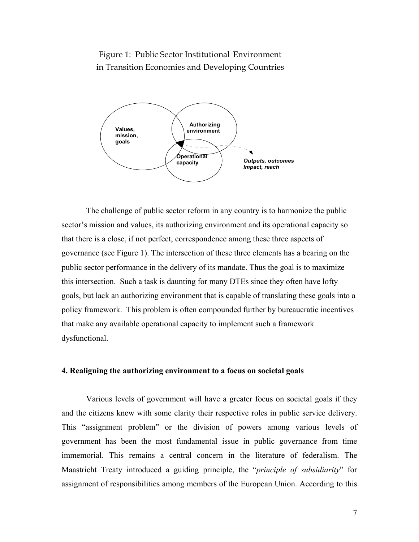Figure 1: Public Sector Institutional Environment in Transition Economies and Developing Countries



 The challenge of public sector reform in any country is to harmonize the public sector's mission and values, its authorizing environment and its operational capacity so that there is a close, if not perfect, correspondence among these three aspects of governance (see Figure 1). The intersection of these three elements has a bearing on the public sector performance in the delivery of its mandate. Thus the goal is to maximize this intersection. Such a task is daunting for many DTEs since they often have lofty goals, but lack an authorizing environment that is capable of translating these goals into a policy framework. This problem is often compounded further by bureaucratic incentives that make any available operational capacity to implement such a framework dysfunctional.

## **4. Realigning the authorizing environment to a focus on societal goals**

Various levels of government will have a greater focus on societal goals if they and the citizens knew with some clarity their respective roles in public service delivery. This "assignment problem" or the division of powers among various levels of government has been the most fundamental issue in public governance from time immemorial. This remains a central concern in the literature of federalism. The Maastricht Treaty introduced a guiding principle, the "*principle of subsidiarity*" for assignment of responsibilities among members of the European Union. According to this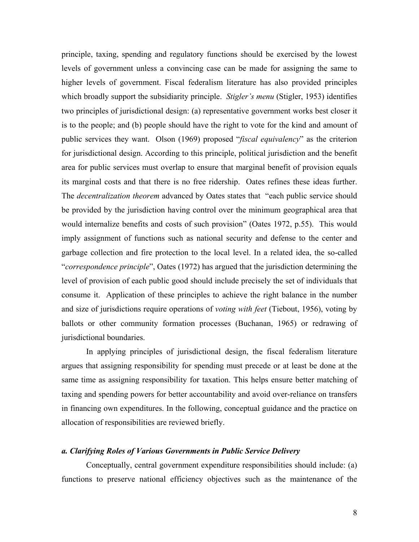principle, taxing, spending and regulatory functions should be exercised by the lowest levels of government unless a convincing case can be made for assigning the same to higher levels of government. Fiscal federalism literature has also provided principles which broadly support the subsidiarity principle. *Stigler's menu* (Stigler, 1953) identifies two principles of jurisdictional design: (a) representative government works best closer it is to the people; and (b) people should have the right to vote for the kind and amount of public services they want. Olson (1969) proposed "*fiscal equivalency*" as the criterion for jurisdictional design. According to this principle, political jurisdiction and the benefit area for public services must overlap to ensure that marginal benefit of provision equals its marginal costs and that there is no free ridership. Oates refines these ideas further. The *decentralization theorem* advanced by Oates states that "each public service should be provided by the jurisdiction having control over the minimum geographical area that would internalize benefits and costs of such provision" (Oates 1972, p.55). This would imply assignment of functions such as national security and defense to the center and garbage collection and fire protection to the local level. In a related idea, the so-called "*correspondence principle*", Oates (1972) has argued that the jurisdiction determining the level of provision of each public good should include precisely the set of individuals that consume it. Application of these principles to achieve the right balance in the number and size of jurisdictions require operations of *voting with feet* (Tiebout, 1956), voting by ballots or other community formation processes (Buchanan, 1965) or redrawing of jurisdictional boundaries.

In applying principles of jurisdictional design, the fiscal federalism literature argues that assigning responsibility for spending must precede or at least be done at the same time as assigning responsibility for taxation. This helps ensure better matching of taxing and spending powers for better accountability and avoid over-reliance on transfers in financing own expenditures. In the following, conceptual guidance and the practice on allocation of responsibilities are reviewed briefly.

# *a. Clarifying Roles of Various Governments in Public Service Delivery*

Conceptually, central government expenditure responsibilities should include: (a) functions to preserve national efficiency objectives such as the maintenance of the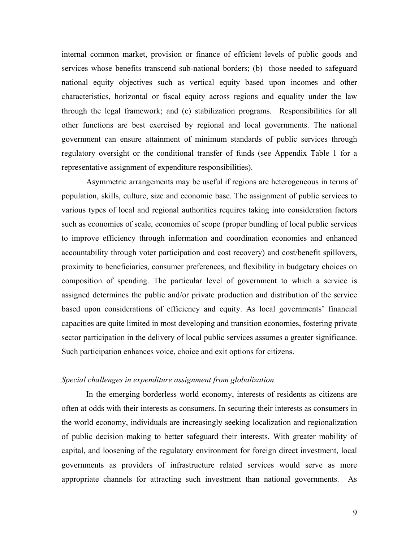internal common market, provision or finance of efficient levels of public goods and services whose benefits transcend sub-national borders; (b) those needed to safeguard national equity objectives such as vertical equity based upon incomes and other characteristics, horizontal or fiscal equity across regions and equality under the law through the legal framework; and (c) stabilization programs. Responsibilities for all other functions are best exercised by regional and local governments. The national government can ensure attainment of minimum standards of public services through regulatory oversight or the conditional transfer of funds (see Appendix Table 1 for a representative assignment of expenditure responsibilities).

Asymmetric arrangements may be useful if regions are heterogeneous in terms of population, skills, culture, size and economic base. The assignment of public services to various types of local and regional authorities requires taking into consideration factors such as economies of scale, economies of scope (proper bundling of local public services to improve efficiency through information and coordination economies and enhanced accountability through voter participation and cost recovery) and cost/benefit spillovers, proximity to beneficiaries, consumer preferences, and flexibility in budgetary choices on composition of spending. The particular level of government to which a service is assigned determines the public and/or private production and distribution of the service based upon considerations of efficiency and equity. As local governments' financial capacities are quite limited in most developing and transition economies, fostering private sector participation in the delivery of local public services assumes a greater significance. Such participation enhances voice, choice and exit options for citizens.

# *Special challenges in expenditure assignment from globalization*

In the emerging borderless world economy, interests of residents as citizens are often at odds with their interests as consumers. In securing their interests as consumers in the world economy, individuals are increasingly seeking localization and regionalization of public decision making to better safeguard their interests. With greater mobility of capital, and loosening of the regulatory environment for foreign direct investment, local governments as providers of infrastructure related services would serve as more appropriate channels for attracting such investment than national governments. As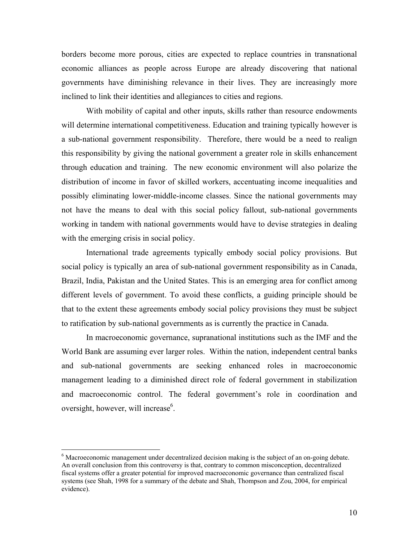borders become more porous, cities are expected to replace countries in transnational economic alliances as people across Europe are already discovering that national governments have diminishing relevance in their lives. They are increasingly more inclined to link their identities and allegiances to cities and regions.

 With mobility of capital and other inputs, skills rather than resource endowments will determine international competitiveness. Education and training typically however is a sub-national government responsibility. Therefore, there would be a need to realign this responsibility by giving the national government a greater role in skills enhancement through education and training. The new economic environment will also polarize the distribution of income in favor of skilled workers, accentuating income inequalities and possibly eliminating lower-middle-income classes. Since the national governments may not have the means to deal with this social policy fallout, sub-national governments working in tandem with national governments would have to devise strategies in dealing with the emerging crisis in social policy.

International trade agreements typically embody social policy provisions. But social policy is typically an area of sub-national government responsibility as in Canada, Brazil, India, Pakistan and the United States. This is an emerging area for conflict among different levels of government. To avoid these conflicts, a guiding principle should be that to the extent these agreements embody social policy provisions they must be subject to ratification by sub-national governments as is currently the practice in Canada.

 In macroeconomic governance, supranational institutions such as the IMF and the World Bank are assuming ever larger roles. Within the nation, independent central banks and sub-national governments are seeking enhanced roles in macroeconomic management leading to a diminished direct role of federal government in stabilization and macroeconomic control. The federal government's role in coordination and oversight, however, will increase<sup>6</sup>.

 $\overline{a}$ 

<sup>&</sup>lt;sup>6</sup> Macroeconomic management under decentralized decision making is the subject of an on-going debate. An overall conclusion from this controversy is that, contrary to common misconception, decentralized fiscal systems offer a greater potential for improved macroeconomic governance than centralized fiscal systems (see Shah, 1998 for a summary of the debate and Shah, Thompson and Zou, 2004, for empirical evidence).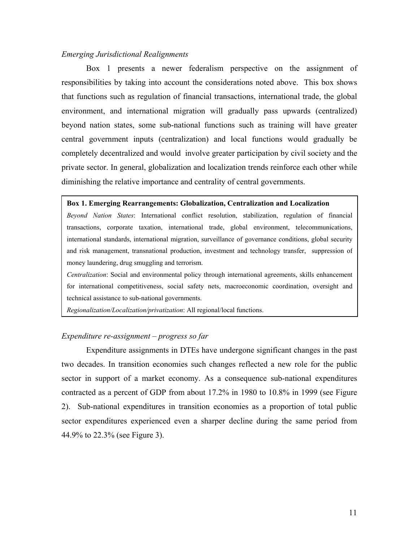#### *Emerging Jurisdictional Realignments*

 Box 1 presents a newer federalism perspective on the assignment of responsibilities by taking into account the considerations noted above. This box shows that functions such as regulation of financial transactions, international trade, the global environment, and international migration will gradually pass upwards (centralized) beyond nation states, some sub-national functions such as training will have greater central government inputs (centralization) and local functions would gradually be completely decentralized and would involve greater participation by civil society and the private sector. In general, globalization and localization trends reinforce each other while diminishing the relative importance and centrality of central governments.

#### **Box 1. Emerging Rearrangements: Globalization, Centralization and Localization**

*Beyond Nation States*: International conflict resolution, stabilization, regulation of financial transactions, corporate taxation, international trade, global environment, telecommunications, international standards, international migration, surveillance of governance conditions, global security and risk management, transnational production, investment and technology transfer, suppression of money laundering, drug smuggling and terrorism.

*Centralization*: Social and environmental policy through international agreements, skills enhancement for international competitiveness, social safety nets, macroeconomic coordination, oversight and technical assistance to sub-national governments.

*Regionalization/Localization/privatization*: All regional/local functions.

# *Expenditure re-assignment – progress so far*

Expenditure assignments in DTEs have undergone significant changes in the past two decades. In transition economies such changes reflected a new role for the public sector in support of a market economy. As a consequence sub-national expenditures contracted as a percent of GDP from about 17.2% in 1980 to 10.8% in 1999 (see Figure 2). Sub-national expenditures in transition economies as a proportion of total public sector expenditures experienced even a sharper decline during the same period from 44.9% to 22.3% (see Figure 3).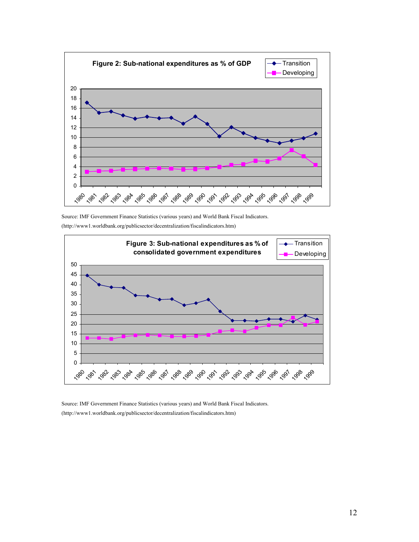

Source: IMF Government Finance Statistics (various years) and World Bank Fiscal Indicators. (http://www1.worldbank.org/publicsector/decentralization/fiscalindicators.htm)



Source: IMF Government Finance Statistics (various years) and World Bank Fiscal Indicators. (http://www1.worldbank.org/publicsector/decentralization/fiscalindicators.htm)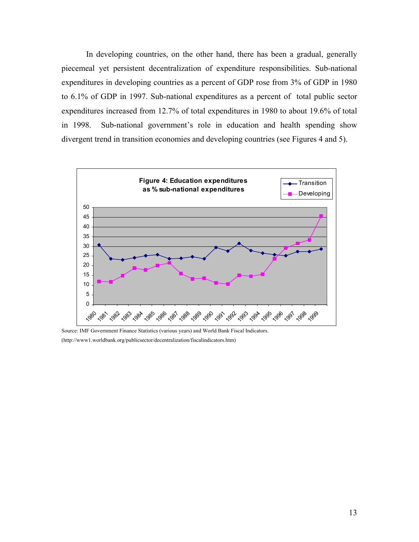In developing countries, on the other hand, there has been a gradual, generally piecemeal yet persistent decentralization of expenditure responsibilities. Sub-national expenditures in developing countries as a percent of GDP rose from 3% of GDP in 1980 to 6.1% of GDP in 1997. Sub-national expenditures as a percent of total public sector expenditures increased from 12.7% of total expenditures in 1980 to about 19.6% of total in 1998. Sub-national government's role in education and health spending show divergent trend in transition economies and developing countries (see Figures 4 and 5).



Source: IMF Government Finance Statistics (various years) and World Bank Fiscal Indicators. (http://www1.worldbank.org/publicsector/decentralization/fiscalindicators.htm)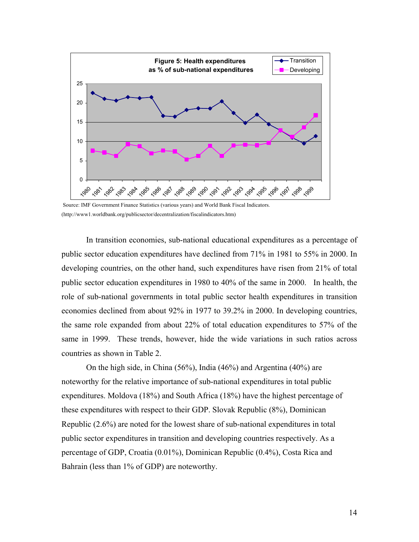

 Source: IMF Government Finance Statistics (various years) and World Bank Fiscal Indicators. (http://www1.worldbank.org/publicsector/decentralization/fiscalindicators.htm)

In transition economies, sub-national educational expenditures as a percentage of public sector education expenditures have declined from 71% in 1981 to 55% in 2000. In developing countries, on the other hand, such expenditures have risen from 21% of total public sector education expenditures in 1980 to 40% of the same in 2000. In health, the role of sub-national governments in total public sector health expenditures in transition economies declined from about 92% in 1977 to 39.2% in 2000. In developing countries, the same role expanded from about 22% of total education expenditures to 57% of the same in 1999. These trends, however, hide the wide variations in such ratios across countries as shown in Table 2.

On the high side, in China (56%), India (46%) and Argentina (40%) are noteworthy for the relative importance of sub-national expenditures in total public expenditures. Moldova (18%) and South Africa (18%) have the highest percentage of these expenditures with respect to their GDP. Slovak Republic (8%), Dominican Republic (2.6%) are noted for the lowest share of sub-national expenditures in total public sector expenditures in transition and developing countries respectively. As a percentage of GDP, Croatia (0.01%), Dominican Republic (0.4%), Costa Rica and Bahrain (less than 1% of GDP) are noteworthy.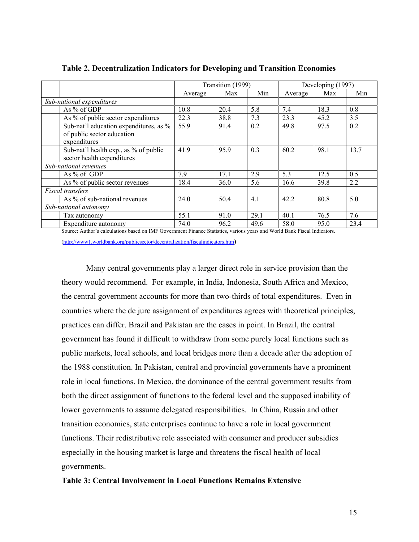|                            |                                        | Transition (1999) |      |      | Developing (1997) |      |      |
|----------------------------|----------------------------------------|-------------------|------|------|-------------------|------|------|
|                            |                                        | Average           | Max  | Min  | Average           | Max  | Min  |
|                            | Sub-national expenditures              |                   |      |      |                   |      |      |
|                            | As % of GDP                            | 10.8              | 20.4 | 5.8  | 7.4               | 18.3 | 0.8  |
|                            | As % of public sector expenditures     | 22.3              | 38.8 | 7.3  | 23.3              | 45.2 | 3.5  |
|                            | Sub-nat'l education expenditures, as % | 55.9              | 91.4 | 0.2  | 49.8              | 97.5 | 0.2  |
|                            | of public sector education             |                   |      |      |                   |      |      |
|                            | expenditures                           |                   |      |      |                   |      |      |
|                            | Sub-nat'l health exp., as % of public  | 41.9              | 95.9 | 0.3  | 60.2              | 98.1 | 13.7 |
| sector health expenditures |                                        |                   |      |      |                   |      |      |
|                            | Sub-national revenues                  |                   |      |      |                   |      |      |
|                            | As % of GDP                            | 7.9               | 17.1 | 2.9  | 5.3               | 12.5 | 0.5  |
|                            | As % of public sector revenues         | 18.4              | 36.0 | 5.6  | 16.6              | 39.8 | 2.2  |
|                            | Fiscal transfers                       |                   |      |      |                   |      |      |
|                            | As % of sub-national revenues          |                   | 50.4 | 4.1  | 42.2              | 80.8 | 5.0  |
| Sub-national autonomy      |                                        |                   |      |      |                   |      |      |
|                            | Tax autonomy                           | 55.1              | 91.0 | 29.1 | 40.1              | 76.5 | 7.6  |
|                            | Expenditure autonomy                   | 74.0              | 96.2 | 49.6 | 58.0              | 95.0 | 23.4 |

**Table 2. Decentralization Indicators for Developing and Transition Economies**

Source: Author's calculations based on IMF Government Finance Statistics, various years and World Bank Fiscal Indicators.

(http://www1.worldbank.org/publicsector/decentralization/fiscalindicators.htm)

Many central governments play a larger direct role in service provision than the theory would recommend. For example, in India, Indonesia, South Africa and Mexico, the central government accounts for more than two-thirds of total expenditures. Even in countries where the de jure assignment of expenditures agrees with theoretical principles, practices can differ. Brazil and Pakistan are the cases in point. In Brazil, the central government has found it difficult to withdraw from some purely local functions such as public markets, local schools, and local bridges more than a decade after the adoption of the 1988 constitution. In Pakistan, central and provincial governments have a prominent role in local functions. In Mexico, the dominance of the central government results from both the direct assignment of functions to the federal level and the supposed inability of lower governments to assume delegated responsibilities. In China, Russia and other transition economies, state enterprises continue to have a role in local government functions. Their redistributive role associated with consumer and producer subsidies especially in the housing market is large and threatens the fiscal health of local governments.

# **Table 3: Central Involvement in Local Functions Remains Extensive**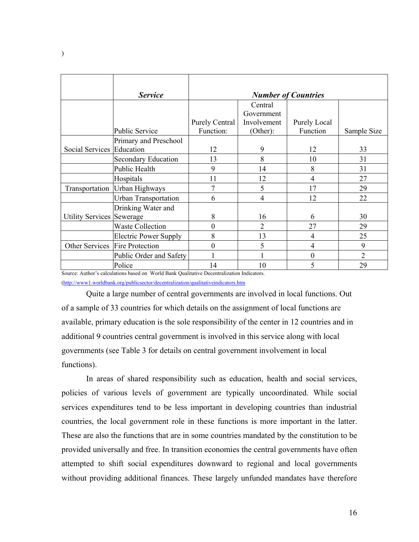|                                  | <b>Service</b>                                                                                                                                                                                                                                                                                          |                          |                | <b>Number of Countries</b> |                |
|----------------------------------|---------------------------------------------------------------------------------------------------------------------------------------------------------------------------------------------------------------------------------------------------------------------------------------------------------|--------------------------|----------------|----------------------------|----------------|
|                                  |                                                                                                                                                                                                                                                                                                         |                          | Central        |                            |                |
|                                  |                                                                                                                                                                                                                                                                                                         |                          | Government     |                            |                |
|                                  |                                                                                                                                                                                                                                                                                                         | <b>Purely Central</b>    | Involvement    | Purely Local               |                |
|                                  | <b>Public Service</b>                                                                                                                                                                                                                                                                                   | Function:                | (Other):       | Function                   | Sample Size    |
|                                  | Primary and Preschool                                                                                                                                                                                                                                                                                   |                          |                |                            |                |
| Social Services Education        |                                                                                                                                                                                                                                                                                                         | 12                       | 9              | 12                         | 33             |
|                                  | <b>Secondary Education</b>                                                                                                                                                                                                                                                                              | 13                       | 8              | 10                         | 31             |
|                                  | Public Health                                                                                                                                                                                                                                                                                           | 9                        | 14             | 8                          | 31             |
|                                  | Hospitals                                                                                                                                                                                                                                                                                               | 11                       | 12             | 4                          | 27             |
| Transportation                   | Urban Highways                                                                                                                                                                                                                                                                                          |                          | 5              | 17                         | 29             |
|                                  | <b>Urban Transportation</b>                                                                                                                                                                                                                                                                             | 6                        | $\overline{4}$ | 12                         | 22             |
|                                  | Drinking Water and                                                                                                                                                                                                                                                                                      |                          |                |                            |                |
| <b>Utility Services Sewerage</b> |                                                                                                                                                                                                                                                                                                         | 8                        | 16             | 6                          | 30             |
|                                  | <b>Waste Collection</b>                                                                                                                                                                                                                                                                                 | $\boldsymbol{0}$         | $\overline{2}$ | 27                         | 29             |
|                                  | <b>Electric Power Supply</b>                                                                                                                                                                                                                                                                            | 8                        | 13             | 4                          | 25             |
|                                  | Other Services Fire Protection                                                                                                                                                                                                                                                                          | 0                        | 5              | 4                          | 9              |
|                                  | Public Order and Safety                                                                                                                                                                                                                                                                                 |                          |                | $\theta$                   | $\overline{2}$ |
| $\sim$                           | Police<br>$A \neq 1$ , $A \neq 1$ , $A \neq 1$ , $A \neq 1$ , $A \neq 1$ , $A \neq 1$ , $A \neq 1$ , $A \neq 1$ , $A \neq 1$ , $A \neq 1$ , $A \neq 1$ , $A \neq 1$ , $A \neq 1$ , $A \neq 1$ , $A \neq 1$ , $A \neq 1$ , $A \neq 1$ , $A \neq 1$ , $A \neq 1$ , $A \neq 1$ , $A \neq 1$ , $A \neq 1$ , | 14<br>and an array and a | 10             | 5                          | 29             |

Source: Author's calculations based on World Bank Qualitative Decentralization Indicators.

(http://www1.worldbank.org/publicsector/decentralization/qualitativeindicators.htm

 Quite a large number of central governments are involved in local functions. Out of a sample of 33 countries for which details on the assignment of local functions are available, primary education is the sole responsibility of the center in 12 countries and in additional 9 countries central government is involved in this service along with local governments (see Table 3 for details on central government involvement in local functions).

In areas of shared responsibility such as education, health and social services, policies of various levels of government are typically uncoordinated. While social services expenditures tend to be less important in developing countries than industrial countries, the local government role in these functions is more important in the latter. These are also the functions that are in some countries mandated by the constitution to be provided universally and free. In transition economies the central governments have often attempted to shift social expenditures downward to regional and local governments without providing additional finances. These largely unfunded mandates have therefore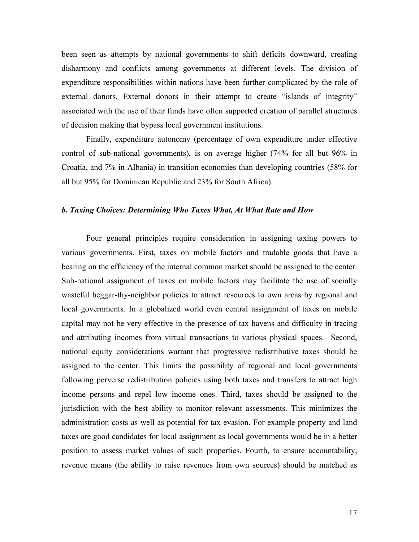been seen as attempts by national governments to shift deficits downward, creating disharmony and conflicts among governments at different levels. The division of expenditure responsibilities within nations have been further complicated by the role of external donors. External donors in their attempt to create "islands of integrity" associated with the use of their funds have often supported creation of parallel structures of decision making that bypass local government institutions.

Finally, expenditure autonomy (percentage of own expenditure under effective control of sub-national governments), is on average higher (74% for all but 96% in Croatia, and 7% in Albania) in transition economies than developing countries (58% for all but 95% for Dominican Republic and 23% for South Africa).

## *b. Taxing Choices: Determining Who Taxes What, At What Rate and How*

Four general principles require consideration in assigning taxing powers to various governments. First, taxes on mobile factors and tradable goods that have a bearing on the efficiency of the internal common market should be assigned to the center. Sub-national assignment of taxes on mobile factors may facilitate the use of socially wasteful beggar-thy-neighbor policies to attract resources to own areas by regional and local governments. In a globalized world even central assignment of taxes on mobile capital may not be very effective in the presence of tax havens and difficulty in tracing and attributing incomes from virtual transactions to various physical spaces. Second, national equity considerations warrant that progressive redistributive taxes should be assigned to the center. This limits the possibility of regional and local governments following perverse redistribution policies using both taxes and transfers to attract high income persons and repel low income ones. Third, taxes should be assigned to the jurisdiction with the best ability to monitor relevant assessments. This minimizes the administration costs as well as potential for tax evasion. For example property and land taxes are good candidates for local assignment as local governments would be in a better position to assess market values of such properties. Fourth, to ensure accountability, revenue means (the ability to raise revenues from own sources) should be matched as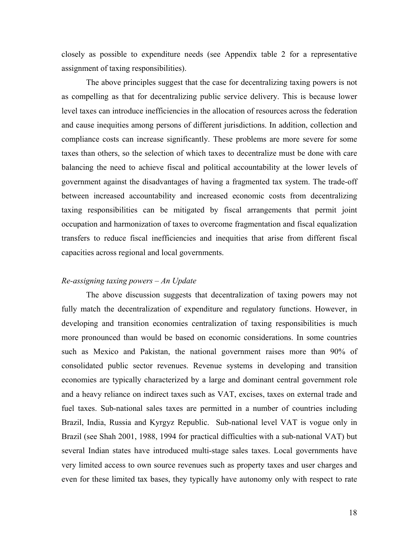closely as possible to expenditure needs (see Appendix table 2 for a representative assignment of taxing responsibilities).

The above principles suggest that the case for decentralizing taxing powers is not as compelling as that for decentralizing public service delivery. This is because lower level taxes can introduce inefficiencies in the allocation of resources across the federation and cause inequities among persons of different jurisdictions. In addition, collection and compliance costs can increase significantly. These problems are more severe for some taxes than others, so the selection of which taxes to decentralize must be done with care balancing the need to achieve fiscal and political accountability at the lower levels of government against the disadvantages of having a fragmented tax system. The trade-off between increased accountability and increased economic costs from decentralizing taxing responsibilities can be mitigated by fiscal arrangements that permit joint occupation and harmonization of taxes to overcome fragmentation and fiscal equalization transfers to reduce fiscal inefficiencies and inequities that arise from different fiscal capacities across regional and local governments.

# *Re-assigning taxing powers – An Update*

The above discussion suggests that decentralization of taxing powers may not fully match the decentralization of expenditure and regulatory functions. However, in developing and transition economies centralization of taxing responsibilities is much more pronounced than would be based on economic considerations. In some countries such as Mexico and Pakistan, the national government raises more than 90% of consolidated public sector revenues. Revenue systems in developing and transition economies are typically characterized by a large and dominant central government role and a heavy reliance on indirect taxes such as VAT, excises, taxes on external trade and fuel taxes. Sub-national sales taxes are permitted in a number of countries including Brazil, India, Russia and Kyrgyz Republic. Sub-national level VAT is vogue only in Brazil (see Shah 2001, 1988, 1994 for practical difficulties with a sub-national VAT) but several Indian states have introduced multi-stage sales taxes. Local governments have very limited access to own source revenues such as property taxes and user charges and even for these limited tax bases, they typically have autonomy only with respect to rate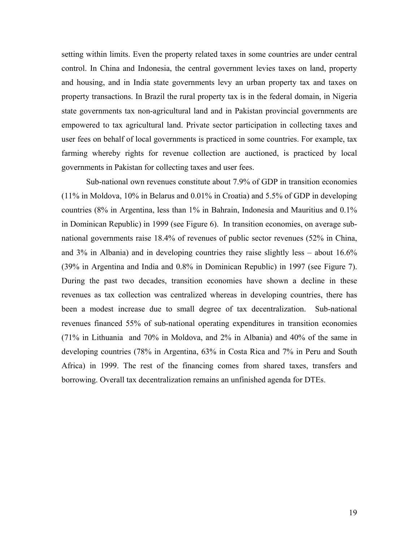setting within limits. Even the property related taxes in some countries are under central control. In China and Indonesia, the central government levies taxes on land, property and housing, and in India state governments levy an urban property tax and taxes on property transactions. In Brazil the rural property tax is in the federal domain, in Nigeria state governments tax non-agricultural land and in Pakistan provincial governments are empowered to tax agricultural land. Private sector participation in collecting taxes and user fees on behalf of local governments is practiced in some countries. For example, tax farming whereby rights for revenue collection are auctioned, is practiced by local governments in Pakistan for collecting taxes and user fees.

Sub-national own revenues constitute about 7.9% of GDP in transition economies (11% in Moldova, 10% in Belarus and 0.01% in Croatia) and 5.5% of GDP in developing countries (8% in Argentina, less than 1% in Bahrain, Indonesia and Mauritius and 0.1% in Dominican Republic) in 1999 (see Figure 6). In transition economies, on average subnational governments raise 18.4% of revenues of public sector revenues (52% in China, and 3% in Albania) and in developing countries they raise slightly less – about 16.6% (39% in Argentina and India and 0.8% in Dominican Republic) in 1997 (see Figure 7). During the past two decades, transition economies have shown a decline in these revenues as tax collection was centralized whereas in developing countries, there has been a modest increase due to small degree of tax decentralization. Sub-national revenues financed 55% of sub-national operating expenditures in transition economies (71% in Lithuania and 70% in Moldova, and 2% in Albania) and 40% of the same in developing countries (78% in Argentina, 63% in Costa Rica and 7% in Peru and South Africa) in 1999. The rest of the financing comes from shared taxes, transfers and borrowing. Overall tax decentralization remains an unfinished agenda for DTEs.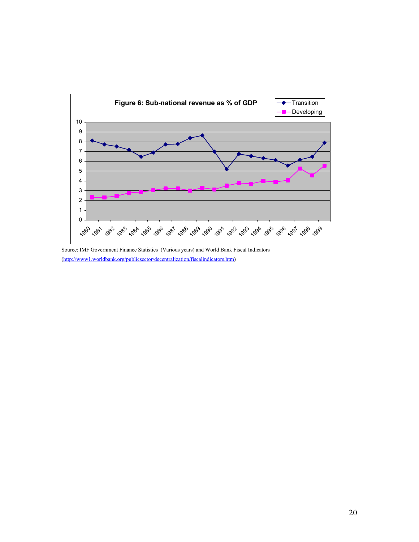

Source: IMF Government Finance Statistics (Various years) and World Bank Fiscal Indicators (http://www1.worldbank.org/publicsector/decentralization/fiscalindicators.htm)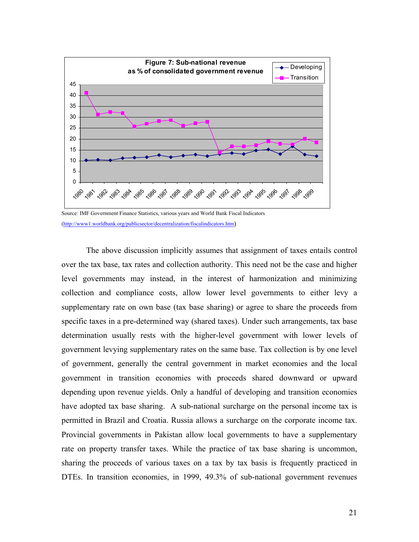

Source: IMF Government Finance Statistics, various years and World Bank Fiscal Indicators (http://www1.worldbank.org/publicsector/decentralization/fiscalindicators.htm)

The above discussion implicitly assumes that assignment of taxes entails control over the tax base, tax rates and collection authority. This need not be the case and higher level governments may instead, in the interest of harmonization and minimizing collection and compliance costs, allow lower level governments to either levy a supplementary rate on own base (tax base sharing) or agree to share the proceeds from specific taxes in a pre-determined way (shared taxes). Under such arrangements, tax base determination usually rests with the higher-level government with lower levels of government levying supplementary rates on the same base. Tax collection is by one level of government, generally the central government in market economies and the local government in transition economies with proceeds shared downward or upward depending upon revenue yields. Only a handful of developing and transition economies have adopted tax base sharing. A sub-national surcharge on the personal income tax is permitted in Brazil and Croatia. Russia allows a surcharge on the corporate income tax. Provincial governments in Pakistan allow local governments to have a supplementary rate on property transfer taxes. While the practice of tax base sharing is uncommon, sharing the proceeds of various taxes on a tax by tax basis is frequently practiced in DTEs. In transition economies, in 1999, 49.3% of sub-national government revenues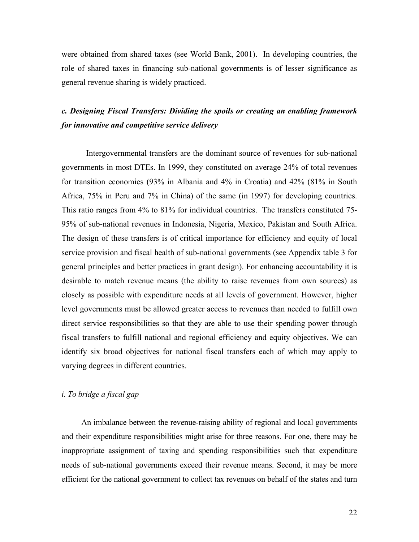were obtained from shared taxes (see World Bank, 2001). In developing countries, the role of shared taxes in financing sub-national governments is of lesser significance as general revenue sharing is widely practiced.

# *c. Designing Fiscal Transfers: Dividing the spoils or creating an enabling framework for innovative and competitive service delivery*

Intergovernmental transfers are the dominant source of revenues for sub-national governments in most DTEs. In 1999, they constituted on average 24% of total revenues for transition economies (93% in Albania and 4% in Croatia) and 42% (81% in South Africa, 75% in Peru and 7% in China) of the same (in 1997) for developing countries. This ratio ranges from 4% to 81% for individual countries. The transfers constituted 75- 95% of sub-national revenues in Indonesia, Nigeria, Mexico, Pakistan and South Africa. The design of these transfers is of critical importance for efficiency and equity of local service provision and fiscal health of sub-national governments (see Appendix table 3 for general principles and better practices in grant design). For enhancing accountability it is desirable to match revenue means (the ability to raise revenues from own sources) as closely as possible with expenditure needs at all levels of government. However, higher level governments must be allowed greater access to revenues than needed to fulfill own direct service responsibilities so that they are able to use their spending power through fiscal transfers to fulfill national and regional efficiency and equity objectives. We can identify six broad objectives for national fiscal transfers each of which may apply to varying degrees in different countries.

# *i. To bridge a fiscal gap*

An imbalance between the revenue-raising ability of regional and local governments and their expenditure responsibilities might arise for three reasons. For one, there may be inappropriate assignment of taxing and spending responsibilities such that expenditure needs of sub-national governments exceed their revenue means. Second, it may be more efficient for the national government to collect tax revenues on behalf of the states and turn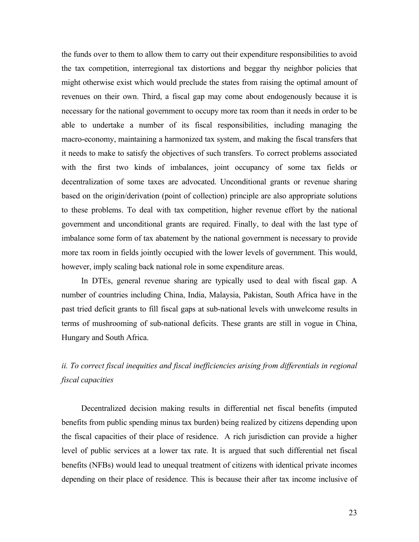the funds over to them to allow them to carry out their expenditure responsibilities to avoid the tax competition, interregional tax distortions and beggar thy neighbor policies that might otherwise exist which would preclude the states from raising the optimal amount of revenues on their own. Third, a fiscal gap may come about endogenously because it is necessary for the national government to occupy more tax room than it needs in order to be able to undertake a number of its fiscal responsibilities, including managing the macro-economy, maintaining a harmonized tax system, and making the fiscal transfers that it needs to make to satisfy the objectives of such transfers. To correct problems associated with the first two kinds of imbalances, joint occupancy of some tax fields or decentralization of some taxes are advocated. Unconditional grants or revenue sharing based on the origin/derivation (point of collection) principle are also appropriate solutions to these problems. To deal with tax competition, higher revenue effort by the national government and unconditional grants are required. Finally, to deal with the last type of imbalance some form of tax abatement by the national government is necessary to provide more tax room in fields jointly occupied with the lower levels of government. This would, however, imply scaling back national role in some expenditure areas.

In DTEs, general revenue sharing are typically used to deal with fiscal gap. A number of countries including China, India, Malaysia, Pakistan, South Africa have in the past tried deficit grants to fill fiscal gaps at sub-national levels with unwelcome results in terms of mushrooming of sub-national deficits. These grants are still in vogue in China, Hungary and South Africa.

# *ii. To correct fiscal inequities and fiscal inefficiencies arising from differentials in regional fiscal capacities*

Decentralized decision making results in differential net fiscal benefits (imputed benefits from public spending minus tax burden) being realized by citizens depending upon the fiscal capacities of their place of residence. A rich jurisdiction can provide a higher level of public services at a lower tax rate. It is argued that such differential net fiscal benefits (NFBs) would lead to unequal treatment of citizens with identical private incomes depending on their place of residence. This is because their after tax income inclusive of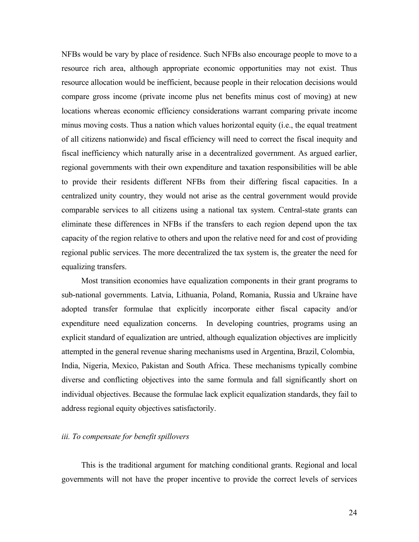NFBs would be vary by place of residence. Such NFBs also encourage people to move to a resource rich area, although appropriate economic opportunities may not exist. Thus resource allocation would be inefficient, because people in their relocation decisions would compare gross income (private income plus net benefits minus cost of moving) at new locations whereas economic efficiency considerations warrant comparing private income minus moving costs. Thus a nation which values horizontal equity (i.e., the equal treatment of all citizens nationwide) and fiscal efficiency will need to correct the fiscal inequity and fiscal inefficiency which naturally arise in a decentralized government. As argued earlier, regional governments with their own expenditure and taxation responsibilities will be able to provide their residents different NFBs from their differing fiscal capacities. In a centralized unity country, they would not arise as the central government would provide comparable services to all citizens using a national tax system. Central-state grants can eliminate these differences in NFBs if the transfers to each region depend upon the tax capacity of the region relative to others and upon the relative need for and cost of providing regional public services. The more decentralized the tax system is, the greater the need for equalizing transfers.

Most transition economies have equalization components in their grant programs to sub-national governments. Latvia, Lithuania, Poland, Romania, Russia and Ukraine have adopted transfer formulae that explicitly incorporate either fiscal capacity and/or expenditure need equalization concerns. In developing countries, programs using an explicit standard of equalization are untried, although equalization objectives are implicitly attempted in the general revenue sharing mechanisms used in Argentina, Brazil, Colombia, India, Nigeria, Mexico, Pakistan and South Africa. These mechanisms typically combine diverse and conflicting objectives into the same formula and fall significantly short on individual objectives. Because the formulae lack explicit equalization standards, they fail to address regional equity objectives satisfactorily.

# *iii. To compensate for benefit spillovers*

This is the traditional argument for matching conditional grants. Regional and local governments will not have the proper incentive to provide the correct levels of services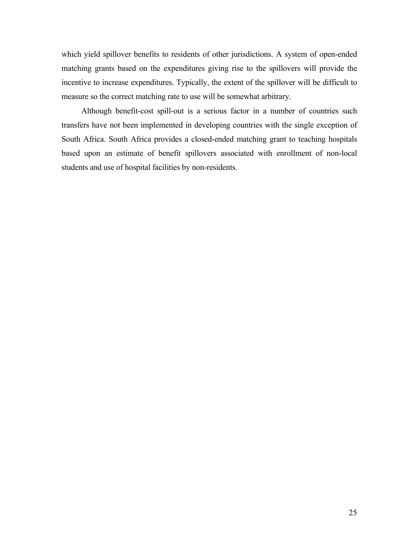which yield spillover benefits to residents of other jurisdictions. A system of open-ended matching grants based on the expenditures giving rise to the spillovers will provide the incentive to increase expenditures. Typically, the extent of the spillover will be difficult to measure so the correct matching rate to use will be somewhat arbitrary.

Although benefit-cost spill-out is a serious factor in a number of countries such transfers have not been implemented in developing countries with the single exception of South Africa. South Africa provides a closed-ended matching grant to teaching hospitals based upon an estimate of benefit spillovers associated with enrollment of non-local students and use of hospital facilities by non-residents.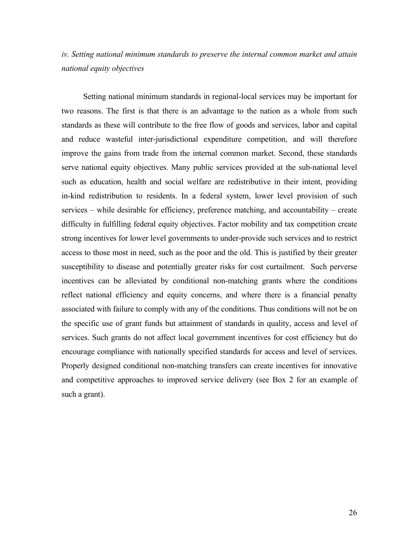*iv. Setting national minimum standards to preserve the internal common market and attain national equity objectives* 

 Setting national minimum standards in regional-local services may be important for two reasons. The first is that there is an advantage to the nation as a whole from such standards as these will contribute to the free flow of goods and services, labor and capital and reduce wasteful inter-jurisdictional expenditure competition, and will therefore improve the gains from trade from the internal common market. Second, these standards serve national equity objectives. Many public services provided at the sub-national level such as education, health and social welfare are redistributive in their intent, providing in-kind redistribution to residents. In a federal system, lower level provision of such services – while desirable for efficiency, preference matching, and accountability – create difficulty in fulfilling federal equity objectives. Factor mobility and tax competition create strong incentives for lower level governments to under-provide such services and to restrict access to those most in need, such as the poor and the old. This is justified by their greater susceptibility to disease and potentially greater risks for cost curtailment. Such perverse incentives can be alleviated by conditional non-matching grants where the conditions reflect national efficiency and equity concerns, and where there is a financial penalty associated with failure to comply with any of the conditions. Thus conditions will not be on the specific use of grant funds but attainment of standards in quality, access and level of services. Such grants do not affect local government incentives for cost efficiency but do encourage compliance with nationally specified standards for access and level of services. Properly designed conditional non-matching transfers can create incentives for innovative and competitive approaches to improved service delivery (see Box 2 for an example of such a grant).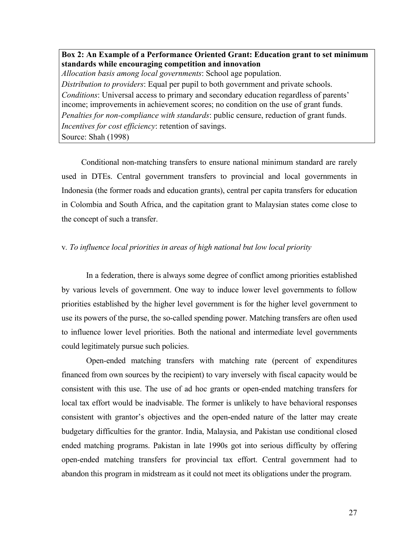**Box 2: An Example of a Performance Oriented Grant: Education grant to set minimum standards while encouraging competition and innovation**  *Allocation basis among local governments*: School age population. *Distribution to providers*: Equal per pupil to both government and private schools. *Conditions*: Universal access to primary and secondary education regardless of parents' income; improvements in achievement scores; no condition on the use of grant funds. *Penalties for non-compliance with standards*: public censure, reduction of grant funds. *Incentives for cost efficiency*: retention of savings. Source: Shah (1998)

Conditional non-matching transfers to ensure national minimum standard are rarely used in DTEs. Central government transfers to provincial and local governments in Indonesia (the former roads and education grants), central per capita transfers for education in Colombia and South Africa, and the capitation grant to Malaysian states come close to the concept of such a transfer.

# v*. To influence local priorities in areas of high national but low local priority*

In a federation, there is always some degree of conflict among priorities established by various levels of government. One way to induce lower level governments to follow priorities established by the higher level government is for the higher level government to use its powers of the purse, the so-called spending power. Matching transfers are often used to influence lower level priorities. Both the national and intermediate level governments could legitimately pursue such policies.

Open-ended matching transfers with matching rate (percent of expenditures financed from own sources by the recipient) to vary inversely with fiscal capacity would be consistent with this use. The use of ad hoc grants or open-ended matching transfers for local tax effort would be inadvisable. The former is unlikely to have behavioral responses consistent with grantor's objectives and the open-ended nature of the latter may create budgetary difficulties for the grantor. India, Malaysia, and Pakistan use conditional closed ended matching programs. Pakistan in late 1990s got into serious difficulty by offering open-ended matching transfers for provincial tax effort. Central government had to abandon this program in midstream as it could not meet its obligations under the program.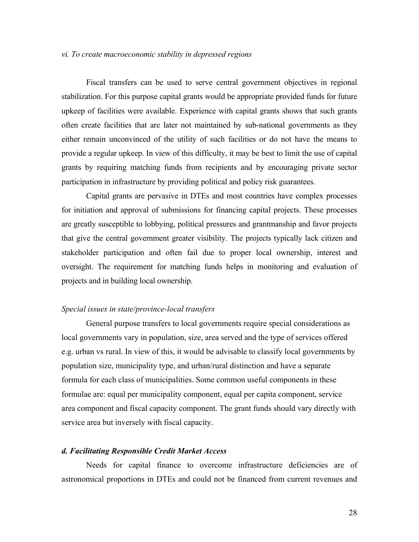# *vi. To create macroeconomic stability in depressed regions*

Fiscal transfers can be used to serve central government objectives in regional stabilization. For this purpose capital grants would be appropriate provided funds for future upkeep of facilities were available. Experience with capital grants shows that such grants often create facilities that are later not maintained by sub-national governments as they either remain unconvinced of the utility of such facilities or do not have the means to provide a regular upkeep. In view of this difficulty, it may be best to limit the use of capital grants by requiring matching funds from recipients and by encouraging private sector participation in infrastructure by providing political and policy risk guarantees.

Capital grants are pervasive in DTEs and most countries have complex processes for initiation and approval of submissions for financing capital projects. These processes are greatly susceptible to lobbying, political pressures and grantmanship and favor projects that give the central government greater visibility. The projects typically lack citizen and stakeholder participation and often fail due to proper local ownership, interest and oversight. The requirement for matching funds helps in monitoring and evaluation of projects and in building local ownership.

# *Special issues in state/province-local transfers*

General purpose transfers to local governments require special considerations as local governments vary in population, size, area served and the type of services offered e.g. urban vs rural. In view of this, it would be advisable to classify local governments by population size, municipality type, and urban/rural distinction and have a separate formula for each class of municipalities. Some common useful components in these formulae are: equal per municipality component, equal per capita component, service area component and fiscal capacity component. The grant funds should vary directly with service area but inversely with fiscal capacity.

# *d. Facilitating Responsible Credit Market Access*

Needs for capital finance to overcome infrastructure deficiencies are of astronomical proportions in DTEs and could not be financed from current revenues and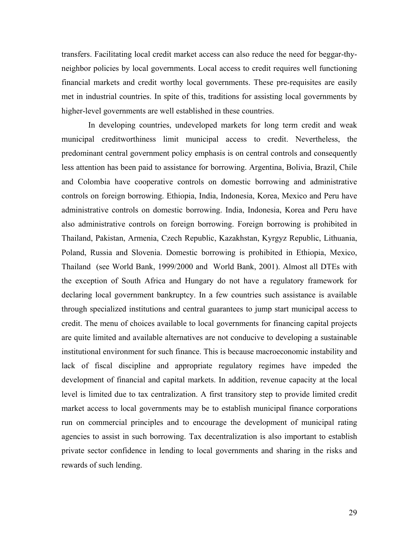transfers. Facilitating local credit market access can also reduce the need for beggar-thyneighbor policies by local governments. Local access to credit requires well functioning financial markets and credit worthy local governments. These pre-requisites are easily met in industrial countries. In spite of this, traditions for assisting local governments by higher-level governments are well established in these countries.

 In developing countries, undeveloped markets for long term credit and weak municipal creditworthiness limit municipal access to credit. Nevertheless, the predominant central government policy emphasis is on central controls and consequently less attention has been paid to assistance for borrowing. Argentina, Bolivia, Brazil, Chile and Colombia have cooperative controls on domestic borrowing and administrative controls on foreign borrowing. Ethiopia, India, Indonesia, Korea, Mexico and Peru have administrative controls on domestic borrowing. India, Indonesia, Korea and Peru have also administrative controls on foreign borrowing. Foreign borrowing is prohibited in Thailand, Pakistan, Armenia, Czech Republic, Kazakhstan, Kyrgyz Republic, Lithuania, Poland, Russia and Slovenia. Domestic borrowing is prohibited in Ethiopia, Mexico, Thailand (see World Bank, 1999/2000 and World Bank, 2001). Almost all DTEs with the exception of South Africa and Hungary do not have a regulatory framework for declaring local government bankruptcy. In a few countries such assistance is available through specialized institutions and central guarantees to jump start municipal access to credit. The menu of choices available to local governments for financing capital projects are quite limited and available alternatives are not conducive to developing a sustainable institutional environment for such finance. This is because macroeconomic instability and lack of fiscal discipline and appropriate regulatory regimes have impeded the development of financial and capital markets. In addition, revenue capacity at the local level is limited due to tax centralization. A first transitory step to provide limited credit market access to local governments may be to establish municipal finance corporations run on commercial principles and to encourage the development of municipal rating agencies to assist in such borrowing. Tax decentralization is also important to establish private sector confidence in lending to local governments and sharing in the risks and rewards of such lending.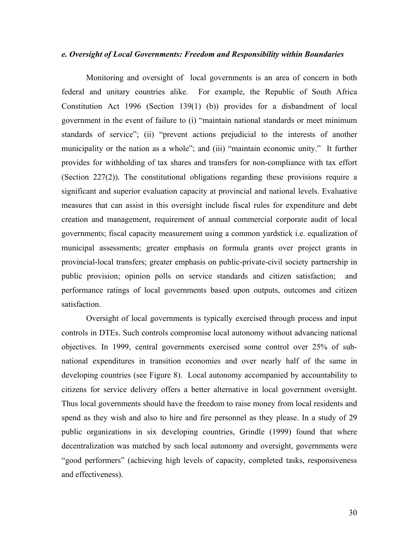# *e. Oversight of Local Governments: Freedom and Responsibility within Boundaries*

Monitoring and oversight oflocal governments is an area of concern in both federal and unitary countries alike. For example, the Republic of South Africa Constitution Act 1996 (Section 139(1) (b)) provides for a disbandment of local government in the event of failure to (i) "maintain national standards or meet minimum standards of service"; (ii) "prevent actions prejudicial to the interests of another municipality or the nation as a whole"; and (iii) "maintain economic unity." It further provides for withholding of tax shares and transfers for non-compliance with tax effort (Section 227(2)). The constitutional obligations regarding these provisions require a significant and superior evaluation capacity at provincial and national levels. Evaluative measures that can assist in this oversight include fiscal rules for expenditure and debt creation and management, requirement of annual commercial corporate audit of local governments; fiscal capacity measurement using a common yardstick i.e. equalization of municipal assessments; greater emphasis on formula grants over project grants in provincial-local transfers; greater emphasis on public-private-civil society partnership in public provision; opinion polls on service standards and citizen satisfaction; and performance ratings of local governments based upon outputs, outcomes and citizen satisfaction.

Oversight of local governments is typically exercised through process and input controls in DTEs. Such controls compromise local autonomy without advancing national objectives. In 1999, central governments exercised some control over 25% of subnational expenditures in transition economies and over nearly half of the same in developing countries (see Figure 8). Local autonomy accompanied by accountability to citizens for service delivery offers a better alternative in local government oversight. Thus local governments should have the freedom to raise money from local residents and spend as they wish and also to hire and fire personnel as they please. In a study of 29 public organizations in six developing countries, Grindle (1999) found that where decentralization was matched by such local autonomy and oversight, governments were "good performers" (achieving high levels of capacity, completed tasks, responsiveness and effectiveness).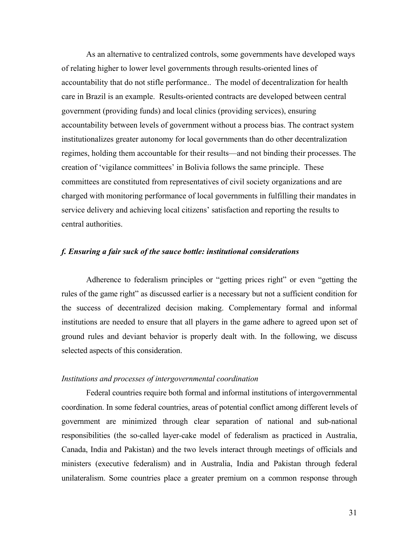As an alternative to centralized controls, some governments have developed ways of relating higher to lower level governments through results-oriented lines of accountability that do not stifle performance.. The model of decentralization for health care in Brazil is an example. Results-oriented contracts are developed between central government (providing funds) and local clinics (providing services), ensuring accountability between levels of government without a process bias. The contract system institutionalizes greater autonomy for local governments than do other decentralization regimes, holding them accountable for their results—and not binding their processes. The creation of 'vigilance committees' in Bolivia follows the same principle. These committees are constituted from representatives of civil society organizations and are charged with monitoring performance of local governments in fulfilling their mandates in service delivery and achieving local citizens' satisfaction and reporting the results to central authorities.

#### *f. Ensuring a fair suck of the sauce bottle: institutional considerations*

 Adherence to federalism principles or "getting prices right" or even "getting the rules of the game right" as discussed earlier is a necessary but not a sufficient condition for the success of decentralized decision making. Complementary formal and informal institutions are needed to ensure that all players in the game adhere to agreed upon set of ground rules and deviant behavior is properly dealt with. In the following, we discuss selected aspects of this consideration.

## *Institutions and processes of intergovernmental coordination*

 Federal countries require both formal and informal institutions of intergovernmental coordination. In some federal countries, areas of potential conflict among different levels of government are minimized through clear separation of national and sub-national responsibilities (the so-called layer-cake model of federalism as practiced in Australia, Canada, India and Pakistan) and the two levels interact through meetings of officials and ministers (executive federalism) and in Australia, India and Pakistan through federal unilateralism. Some countries place a greater premium on a common response through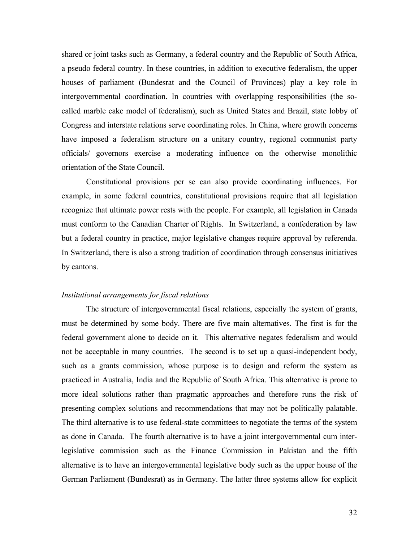shared or joint tasks such as Germany, a federal country and the Republic of South Africa, a pseudo federal country. In these countries, in addition to executive federalism, the upper houses of parliament (Bundesrat and the Council of Provinces) play a key role in intergovernmental coordination. In countries with overlapping responsibilities (the socalled marble cake model of federalism), such as United States and Brazil, state lobby of Congress and interstate relations serve coordinating roles. In China, where growth concerns have imposed a federalism structure on a unitary country, regional communist party officials/ governors exercise a moderating influence on the otherwise monolithic orientation of the State Council.

 Constitutional provisions per se can also provide coordinating influences. For example, in some federal countries, constitutional provisions require that all legislation recognize that ultimate power rests with the people. For example, all legislation in Canada must conform to the Canadian Charter of Rights. In Switzerland, a confederation by law but a federal country in practice, major legislative changes require approval by referenda. In Switzerland, there is also a strong tradition of coordination through consensus initiatives by cantons.

# *Institutional arrangements for fiscal relations*

 The structure of intergovernmental fiscal relations, especially the system of grants, must be determined by some body. There are five main alternatives. The first is for the federal government alone to decide on it. This alternative negates federalism and would not be acceptable in many countries. The second is to set up a quasi-independent body, such as a grants commission, whose purpose is to design and reform the system as practiced in Australia, India and the Republic of South Africa. This alternative is prone to more ideal solutions rather than pragmatic approaches and therefore runs the risk of presenting complex solutions and recommendations that may not be politically palatable. The third alternative is to use federal-state committees to negotiate the terms of the system as done in Canada. The fourth alternative is to have a joint intergovernmental cum interlegislative commission such as the Finance Commission in Pakistan and the fifth alternative is to have an intergovernmental legislative body such as the upper house of the German Parliament (Bundesrat) as in Germany. The latter three systems allow for explicit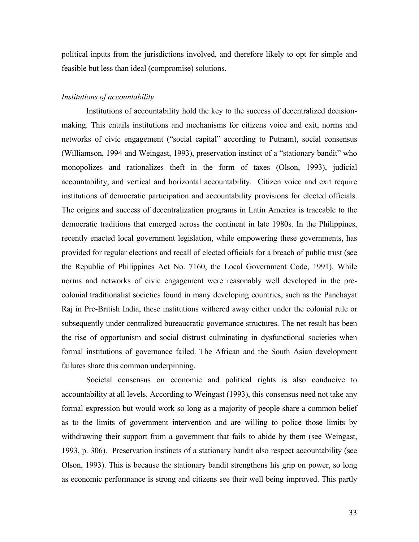political inputs from the jurisdictions involved, and therefore likely to opt for simple and feasible but less than ideal (compromise) solutions.

# *Institutions of accountability*

 Institutions of accountability hold the key to the success of decentralized decisionmaking. This entails institutions and mechanisms for citizens voice and exit, norms and networks of civic engagement ("social capital" according to Putnam), social consensus (Williamson, 1994 and Weingast, 1993), preservation instinct of a "stationary bandit" who monopolizes and rationalizes theft in the form of taxes (Olson, 1993), judicial accountability, and vertical and horizontal accountability. Citizen voice and exit require institutions of democratic participation and accountability provisions for elected officials. The origins and success of decentralization programs in Latin America is traceable to the democratic traditions that emerged across the continent in late 1980s. In the Philippines, recently enacted local government legislation, while empowering these governments, has provided for regular elections and recall of elected officials for a breach of public trust (see the Republic of Philippines Act No. 7160, the Local Government Code, 1991). While norms and networks of civic engagement were reasonably well developed in the precolonial traditionalist societies found in many developing countries, such as the Panchayat Raj in Pre-British India, these institutions withered away either under the colonial rule or subsequently under centralized bureaucratic governance structures. The net result has been the rise of opportunism and social distrust culminating in dysfunctional societies when formal institutions of governance failed. The African and the South Asian development failures share this common underpinning.

Societal consensus on economic and political rights is also conducive to accountability at all levels. According to Weingast (1993), this consensus need not take any formal expression but would work so long as a majority of people share a common belief as to the limits of government intervention and are willing to police those limits by withdrawing their support from a government that fails to abide by them (see Weingast, 1993, p. 306). Preservation instincts of a stationary bandit also respect accountability (see Olson, 1993). This is because the stationary bandit strengthens his grip on power, so long as economic performance is strong and citizens see their well being improved. This partly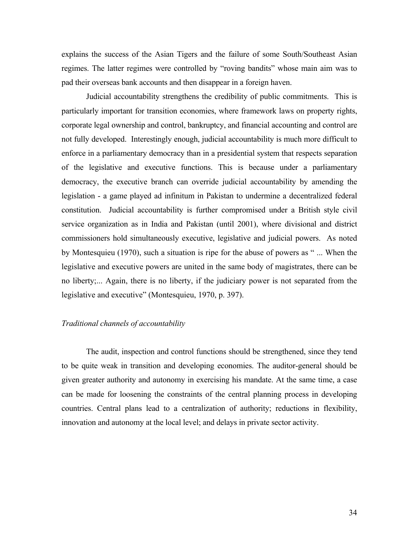explains the success of the Asian Tigers and the failure of some South/Southeast Asian regimes. The latter regimes were controlled by "roving bandits" whose main aim was to pad their overseas bank accounts and then disappear in a foreign haven.

 Judicial accountability strengthens the credibility of public commitments. This is particularly important for transition economies, where framework laws on property rights, corporate legal ownership and control, bankruptcy, and financial accounting and control are not fully developed. Interestingly enough, judicial accountability is much more difficult to enforce in a parliamentary democracy than in a presidential system that respects separation of the legislative and executive functions. This is because under a parliamentary democracy, the executive branch can override judicial accountability by amending the legislation - a game played ad infinitum in Pakistan to undermine a decentralized federal constitution. Judicial accountability is further compromised under a British style civil service organization as in India and Pakistan (until 2001), where divisional and district commissioners hold simultaneously executive, legislative and judicial powers. As noted by Montesquieu (1970), such a situation is ripe for the abuse of powers as " ... When the legislative and executive powers are united in the same body of magistrates, there can be no liberty;... Again, there is no liberty, if the judiciary power is not separated from the legislative and executive" (Montesquieu, 1970, p. 397).

# *Traditional channels of accountability*

 The audit, inspection and control functions should be strengthened, since they tend to be quite weak in transition and developing economies. The auditor-general should be given greater authority and autonomy in exercising his mandate. At the same time, a case can be made for loosening the constraints of the central planning process in developing countries. Central plans lead to a centralization of authority; reductions in flexibility, innovation and autonomy at the local level; and delays in private sector activity.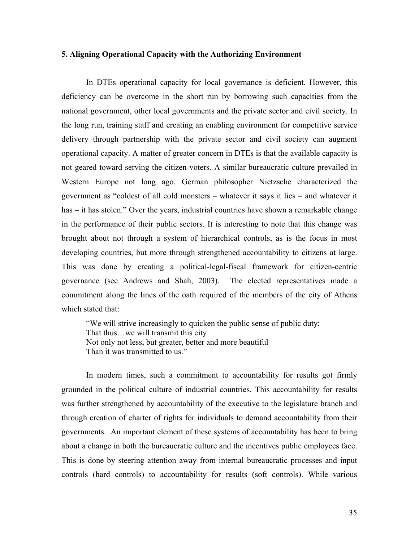# **5. Aligning Operational Capacity with the Authorizing Environment**

In DTEs operational capacity for local governance is deficient. However, this deficiency can be overcome in the short run by borrowing such capacities from the national government, other local governments and the private sector and civil society. In the long run, training staff and creating an enabling environment for competitive service delivery through partnership with the private sector and civil society can augment operational capacity. A matter of greater concern in DTEs is that the available capacity is not geared toward serving the citizen-voters. A similar bureaucratic culture prevailed in Western Europe not long ago. German philosopher Nietzsche characterized the government as "coldest of all cold monsters – whatever it says it lies – and whatever it has – it has stolen." Over the years, industrial countries have shown a remarkable change in the performance of their public sectors. It is interesting to note that this change was brought about not through a system of hierarchical controls, as is the focus in most developing countries, but more through strengthened accountability to citizens at large. This was done by creating a political-legal-fiscal framework for citizen-centric governance (see Andrews and Shah, 2003). The elected representatives made a commitment along the lines of the oath required of the members of the city of Athens which stated that:

"We will strive increasingly to quicken the public sense of public duty; That thus…we will transmit this city Not only not less, but greater, better and more beautiful Than it was transmitted to us."

In modern times, such a commitment to accountability for results got firmly grounded in the political culture of industrial countries. This accountability for results was further strengthened by accountability of the executive to the legislature branch and through creation of charter of rights for individuals to demand accountability from their governments. An important element of these systems of accountability has been to bring about a change in both the bureaucratic culture and the incentives public employees face. This is done by steering attention away from internal bureaucratic processes and input controls (hard controls) to accountability for results (soft controls). While various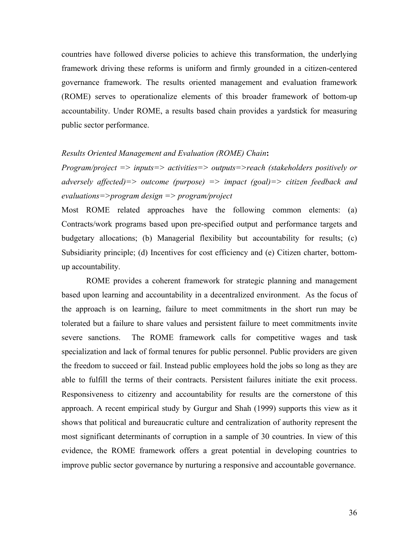countries have followed diverse policies to achieve this transformation, the underlying framework driving these reforms is uniform and firmly grounded in a citizen-centered governance framework. The results oriented management and evaluation framework (ROME) serves to operationalize elements of this broader framework of bottom-up accountability. Under ROME, a results based chain provides a yardstick for measuring public sector performance.

#### *Results Oriented Management and Evaluation (ROME) Chain***:**

*Program/project => inputs=> activities=> outputs=>reach (stakeholders positively or adversely affected)=> outcome (purpose) => impact (goal)=> citizen feedback and evaluations=>program design => program/project* 

Most ROME related approaches have the following common elements: (a) Contracts/work programs based upon pre-specified output and performance targets and budgetary allocations; (b) Managerial flexibility but accountability for results; (c) Subsidiarity principle; (d) Incentives for cost efficiency and (e) Citizen charter, bottomup accountability.

ROME provides a coherent framework for strategic planning and management based upon learning and accountability in a decentralized environment. As the focus of the approach is on learning, failure to meet commitments in the short run may be tolerated but a failure to share values and persistent failure to meet commitments invite severe sanctions. The ROME framework calls for competitive wages and task specialization and lack of formal tenures for public personnel. Public providers are given the freedom to succeed or fail. Instead public employees hold the jobs so long as they are able to fulfill the terms of their contracts. Persistent failures initiate the exit process. Responsiveness to citizenry and accountability for results are the cornerstone of this approach. A recent empirical study by Gurgur and Shah (1999) supports this view as it shows that political and bureaucratic culture and centralization of authority represent the most significant determinants of corruption in a sample of 30 countries. In view of this evidence, the ROME framework offers a great potential in developing countries to improve public sector governance by nurturing a responsive and accountable governance.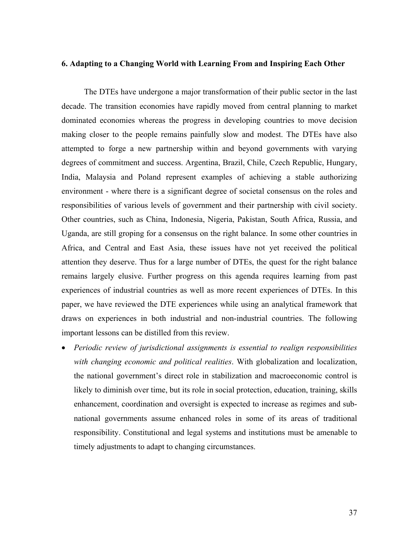# **6. Adapting to a Changing World with Learning From and Inspiring Each Other**

 The DTEs have undergone a major transformation of their public sector in the last decade. The transition economies have rapidly moved from central planning to market dominated economies whereas the progress in developing countries to move decision making closer to the people remains painfully slow and modest. The DTEs have also attempted to forge a new partnership within and beyond governments with varying degrees of commitment and success. Argentina, Brazil, Chile, Czech Republic, Hungary, India, Malaysia and Poland represent examples of achieving a stable authorizing environment - where there is a significant degree of societal consensus on the roles and responsibilities of various levels of government and their partnership with civil society. Other countries, such as China, Indonesia, Nigeria, Pakistan, South Africa, Russia, and Uganda, are still groping for a consensus on the right balance. In some other countries in Africa, and Central and East Asia, these issues have not yet received the political attention they deserve. Thus for a large number of DTEs, the quest for the right balance remains largely elusive. Further progress on this agenda requires learning from past experiences of industrial countries as well as more recent experiences of DTEs. In this paper, we have reviewed the DTE experiences while using an analytical framework that draws on experiences in both industrial and non-industrial countries. The following important lessons can be distilled from this review.

• *Periodic review of jurisdictional assignments is essential to realign responsibilities with changing economic and political realities*. With globalization and localization, the national government's direct role in stabilization and macroeconomic control is likely to diminish over time, but its role in social protection, education, training, skills enhancement, coordination and oversight is expected to increase as regimes and subnational governments assume enhanced roles in some of its areas of traditional responsibility. Constitutional and legal systems and institutions must be amenable to timely adjustments to adapt to changing circumstances.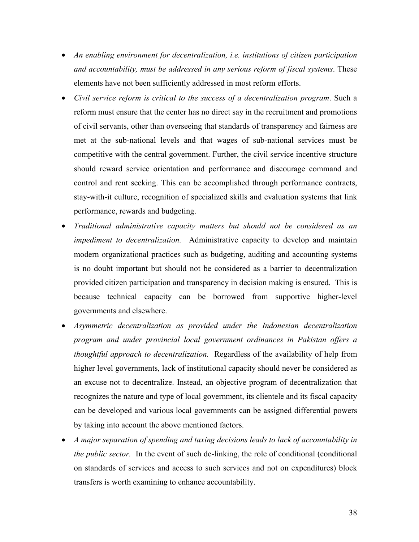- *An enabling environment for decentralization, i.e. institutions of citizen participation and accountability, must be addressed in any serious reform of fiscal systems*. These elements have not been sufficiently addressed in most reform efforts.
- *Civil service reform is critical to the success of a decentralization program*. Such a reform must ensure that the center has no direct say in the recruitment and promotions of civil servants, other than overseeing that standards of transparency and fairness are met at the sub-national levels and that wages of sub-national services must be competitive with the central government. Further, the civil service incentive structure should reward service orientation and performance and discourage command and control and rent seeking. This can be accomplished through performance contracts, stay-with-it culture, recognition of specialized skills and evaluation systems that link performance, rewards and budgeting.
- *Traditional administrative capacity matters but should not be considered as an impediment to decentralization.* Administrative capacity to develop and maintain modern organizational practices such as budgeting, auditing and accounting systems is no doubt important but should not be considered as a barrier to decentralization provided citizen participation and transparency in decision making is ensured. This is because technical capacity can be borrowed from supportive higher-level governments and elsewhere.
- *Asymmetric decentralization as provided under the Indonesian decentralization program and under provincial local government ordinances in Pakistan offers a thoughtful approach to decentralization.* Regardless of the availability of help from higher level governments, lack of institutional capacity should never be considered as an excuse not to decentralize. Instead, an objective program of decentralization that recognizes the nature and type of local government, its clientele and its fiscal capacity can be developed and various local governments can be assigned differential powers by taking into account the above mentioned factors.
- *A major separation of spending and taxing decisions leads to lack of accountability in the public sector.* In the event of such de-linking, the role of conditional (conditional on standards of services and access to such services and not on expenditures) block transfers is worth examining to enhance accountability.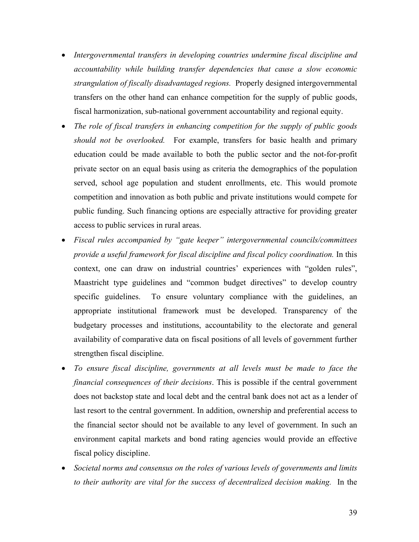- *Intergovernmental transfers in developing countries undermine fiscal discipline and accountability while building transfer dependencies that cause a slow economic strangulation of fiscally disadvantaged regions.* Properly designed intergovernmental transfers on the other hand can enhance competition for the supply of public goods, fiscal harmonization, sub-national government accountability and regional equity.
- *The role of fiscal transfers in enhancing competition for the supply of public goods should not be overlooked.* For example, transfers for basic health and primary education could be made available to both the public sector and the not-for-profit private sector on an equal basis using as criteria the demographics of the population served, school age population and student enrollments, etc. This would promote competition and innovation as both public and private institutions would compete for public funding. Such financing options are especially attractive for providing greater access to public services in rural areas.
- *Fiscal rules accompanied by "gate keeper" intergovernmental councils/committees provide a useful framework for fiscal discipline and fiscal policy coordination.* In this context, one can draw on industrial countries' experiences with "golden rules", Maastricht type guidelines and "common budget directives" to develop country specific guidelines. To ensure voluntary compliance with the guidelines, an appropriate institutional framework must be developed. Transparency of the budgetary processes and institutions, accountability to the electorate and general availability of comparative data on fiscal positions of all levels of government further strengthen fiscal discipline.
- *To ensure fiscal discipline, governments at all levels must be made to face the financial consequences of their decisions*. This is possible if the central government does not backstop state and local debt and the central bank does not act as a lender of last resort to the central government. In addition, ownership and preferential access to the financial sector should not be available to any level of government. In such an environment capital markets and bond rating agencies would provide an effective fiscal policy discipline.
- *Societal norms and consensus on the roles of various levels of governments and limits to their authority are vital for the success of decentralized decision making.* In the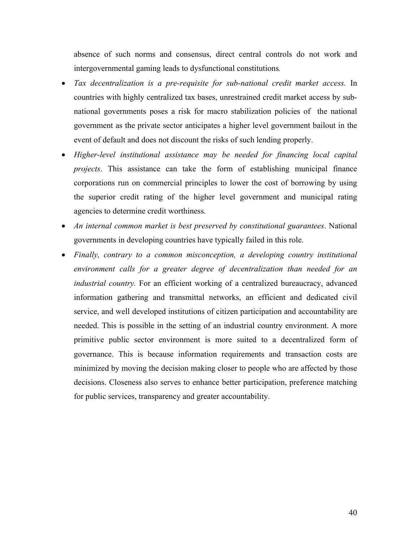absence of such norms and consensus, direct central controls do not work and intergovernmental gaming leads to dysfunctional constitutions*.* 

- *Tax decentralization is a pre-requisite for sub-national credit market access.* In countries with highly centralized tax bases, unrestrained credit market access by subnational governments poses a risk for macro stabilization policies of the national government as the private sector anticipates a higher level government bailout in the event of default and does not discount the risks of such lending properly.
- *Higher-level institutional assistance may be needed for financing local capital projects*. This assistance can take the form of establishing municipal finance corporations run on commercial principles to lower the cost of borrowing by using the superior credit rating of the higher level government and municipal rating agencies to determine credit worthiness.
- *An internal common market is best preserved by constitutional guarantees*. National governments in developing countries have typically failed in this role.
- *Finally, contrary to a common misconception, a developing country institutional environment calls for a greater degree of decentralization than needed for an industrial country.* For an efficient working of a centralized bureaucracy, advanced information gathering and transmittal networks, an efficient and dedicated civil service, and well developed institutions of citizen participation and accountability are needed. This is possible in the setting of an industrial country environment. A more primitive public sector environment is more suited to a decentralized form of governance. This is because information requirements and transaction costs are minimized by moving the decision making closer to people who are affected by those decisions. Closeness also serves to enhance better participation, preference matching for public services, transparency and greater accountability.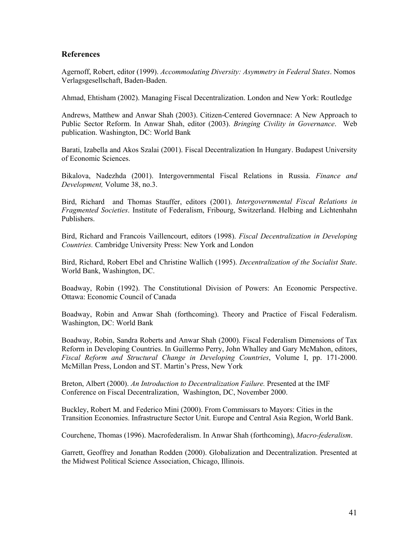# **References**

Agernoff, Robert, editor (1999). *Accommodating Diversity: Asymmetry in Federal States*. Nomos Verlagsgesellschaft, Baden-Baden.

Ahmad, Ehtisham (2002). Managing Fiscal Decentralization. London and New York: Routledge

Andrews, Matthew and Anwar Shah (2003). Citizen-Centered Governnace: A New Approach to Public Sector Reform. In Anwar Shah, editor (2003). *Bringing Civility in Governance*. Web publication. Washington, DC: World Bank

Barati, Izabella and Akos Szalai (2001). Fiscal Decentralization In Hungary. Budapest University of Economic Sciences.

Bikalova, Nadezhda (2001). Intergovernmental Fiscal Relations in Russia. *Finance and Development,* Volume 38, no.3.

Bird, Richard and Thomas Stauffer, editors (2001). *Intergovernmental Fiscal Relations in Fragmented Societies*. Institute of Federalism, Fribourg, Switzerland. Helbing and Lichtenhahn Publishers.

Bird, Richard and Francois Vaillencourt, editors (1998). *Fiscal Decentralization in Developing Countries.* Cambridge University Press: New York and London

Bird, Richard, Robert Ebel and Christine Wallich (1995). *Decentralization of the Socialist State*. World Bank, Washington, DC.

Boadway, Robin (1992). The Constitutional Division of Powers: An Economic Perspective. Ottawa: Economic Council of Canada

Boadway, Robin and Anwar Shah (forthcoming). Theory and Practice of Fiscal Federalism. Washington, DC: World Bank

Boadway, Robin, Sandra Roberts and Anwar Shah (2000). Fiscal Federalism Dimensions of Tax Reform in Developing Countries. In Guillermo Perry, John Whalley and Gary McMahon, editors, *Fiscal Reform and Structural Change in Developing Countries*, Volume I, pp. 171-2000. McMillan Press, London and ST. Martin's Press, New York

Breton, Albert (2000). *An Introduction to Decentralization Failure.* Presented at the IMF Conference on Fiscal Decentralization, Washington, DC, November 2000.

Buckley, Robert M. and Federico Mini (2000). From Commissars to Mayors: Cities in the Transition Economies. Infrastructure Sector Unit. Europe and Central Asia Region, World Bank.

Courchene, Thomas (1996). Macrofederalism. In Anwar Shah (forthcoming), *Macro-federalism*.

Garrett, Geoffrey and Jonathan Rodden (2000). Globalization and Decentralization. Presented at the Midwest Political Science Association, Chicago, Illinois.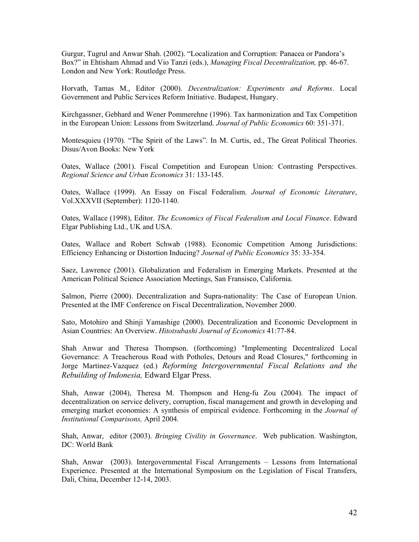Gurgur, Tugrul and Anwar Shah. (2002). "Localization and Corruption: Panacea or Pandora's Box?" in Ehtisham Ahmad and Vio Tanzi (eds.), *Managing Fiscal Decentralization,* pp. 46-67. London and New York: Routledge Press.

Horvath, Tamas M., Editor (2000). *Decentralization: Experiments and Reforms*. Local Government and Public Services Reform Initiative. Budapest, Hungary.

Kirchgassner, Gebhard and Wener Pommerehne (1996). Tax harmonization and Tax Competition in the European Union: Lessons from Switzerland. *Journal of Public Economics* 60: 351-371.

Montesquieu (1970). "The Spirit of the Laws". In M. Curtis, ed., The Great Political Theories. Disus/Avon Books: New York

Oates, Wallace (2001). Fiscal Competition and European Union: Contrasting Perspectives. *Regional Science and Urban Economics* 31: 133-145.

Oates, Wallace (1999). An Essay on Fiscal Federalism. *Journal of Economic Literature*, Vol.XXXVII (September): 1120-1140.

Oates, Wallace (1998), Editor. *The Economics of Fiscal Federalism and Local Finance*. Edward Elgar Publishing Ltd., UK and USA.

Oates, Wallace and Robert Schwab (1988). Economic Competition Among Jurisdictions: Efficiency Enhancing or Distortion Inducing? *Journal of Public Economics* 35: 33-354.

Saez, Lawrence (2001). Globalization and Federalism in Emerging Markets. Presented at the American Political Science Association Meetings, San Fransisco, California.

Salmon, Pierre (2000). Decentralization and Supra-nationality: The Case of European Union. Presented at the IMF Conference on Fiscal Decentralization, November 2000.

Sato, Motohiro and Shinji Yamashige (2000). Decentralization and Economic Development in Asian Countries: An Overview. *Hitotsubashi Journal of Economics* 41:77-84.

Shah Anwar and Theresa Thompson. (forthcoming) "Implementing Decentralized Local Governance: A Treacherous Road with Potholes, Detours and Road Closures," forthcoming in Jorge Martinez-Vazquez (ed.) *Reforming Intergovernmental Fiscal Relations and the Rebuilding of Indonesia,* Edward Elgar Press.

Shah, Anwar (2004), Theresa M. Thompson and Heng-fu Zou (2004). The impact of decentralization on service delivery, corruption, fiscal management and growth in developing and emerging market economies: A synthesis of empirical evidence. Forthcoming in the *Journal of Institutional Comparisons,* April 2004*.* 

Shah, Anwar, editor (2003). *Bringing Civility in Governance*. Web publication. Washington, DC: World Bank

Shah, Anwar (2003). Intergovernmental Fiscal Arrangements – Lessons from International Experience. Presented at the International Symposium on the Legislation of Fiscal Transfers, Dali, China, December 12-14, 2003.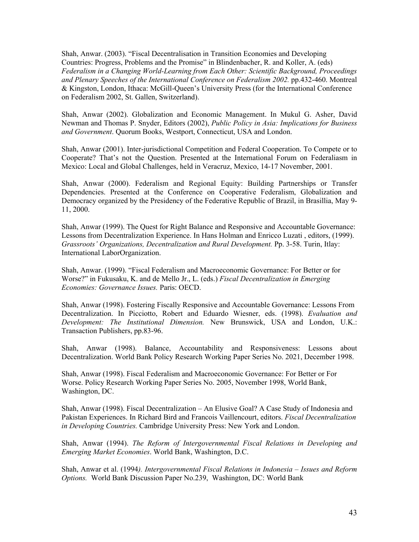Shah, Anwar. (2003). "Fiscal Decentralisation in Transition Economies and Developing Countries: Progress, Problems and the Promise" in Blindenbacher, R. and Koller, A. (eds) *Federalism in a Changing World-Learning from Each Other: Scientific Background, Proceedings and Plenary Speeches of the International Conference on Federalism 2002.* pp.432-460. Montreal & Kingston, London, Ithaca: McGill-Queen's University Press (for the International Conference on Federalism 2002, St. Gallen, Switzerland).

Shah, Anwar (2002). Globalization and Economic Management. In Mukul G. Asher, David Newman and Thomas P. Snyder, Editors (2002), *Public Policy in Asia: Implications for Business and Government*. Quorum Books, Westport, Connecticut, USA and London.

Shah, Anwar (2001). Inter-jurisdictional Competition and Federal Cooperation. To Compete or to Cooperate? That's not the Question. Presented at the International Forum on Federaliasm in Mexico: Local and Global Challenges, held in Veracruz, Mexico, 14-17 November, 2001.

Shah, Anwar (2000). Federalism and Regional Equity: Building Partnerships or Transfer Dependencies. Presented at the Conference on Cooperative Federalism, Globalization and Democracy organized by the Presidency of the Federative Republic of Brazil, in Brasillia, May 9- 11, 2000.

Shah, Anwar (1999). The Quest for Right Balance and Responsive and Accountable Governance: Lessons from Decentralization Experience. In Hans Holman and Enricco Luzati , editors, (1999). *Grassroots' Organizations, Decentralization and Rural Development.* Pp. 3-58. Turin, Itlay: International LaborOrganization.

Shah, Anwar. (1999). "Fiscal Federalism and Macroeconomic Governance: For Better or for Worse?" in Fukusaku, K. and de Mello Jr., L. (eds.) *Fiscal Decentralization in Emerging Economies: Governance Issues.* Paris: OECD.

Shah, Anwar (1998). Fostering Fiscally Responsive and Accountable Governance: Lessons From Decentralization. In Picciotto, Robert and Eduardo Wiesner, eds. (1998). *Evaluation and Development: The Institutional Dimension.* New Brunswick, USA and London, U.K.: Transaction Publishers, pp.83-96.

Shah, Anwar (1998). Balance, Accountability and Responsiveness: Lessons about Decentralization. World Bank Policy Research Working Paper Series No. 2021, December 1998.

Shah, Anwar (1998). Fiscal Federalism and Macroeconomic Governance: For Better or For Worse. Policy Research Working Paper Series No. 2005, November 1998, World Bank, Washington, DC.

Shah, Anwar (1998). Fiscal Decentralization – An Elusive Goal? A Case Study of Indonesia and Pakistan Experiences. In Richard Bird and Francois Vaillencourt, editors. *Fiscal Decentralization in Developing Countries.* Cambridge University Press: New York and London.

Shah, Anwar (1994). *The Reform of Intergovernmental Fiscal Relations in Developing and Emerging Market Economies*. World Bank, Washington, D.C.

Shah, Anwar et al. (1994*). Intergovernmental Fiscal Relations in Indonesia – Issues and Reform Options.* World Bank Discussion Paper No.239, Washington, DC: World Bank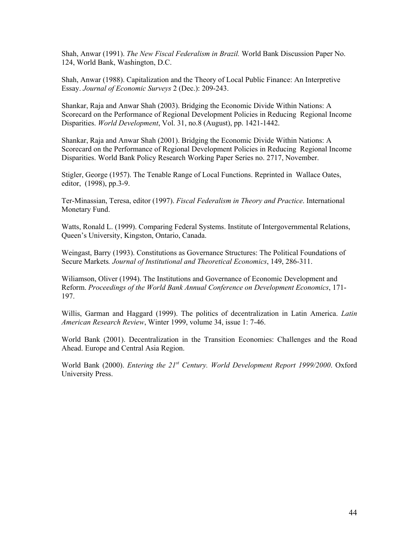Shah, Anwar (1991). *The New Fiscal Federalism in Brazil.* World Bank Discussion Paper No. 124, World Bank, Washington, D.C.

Shah, Anwar (1988). Capitalization and the Theory of Local Public Finance: An Interpretive Essay. *Journal of Economic Surveys* 2 (Dec.): 209-243.

Shankar, Raja and Anwar Shah (2003). Bridging the Economic Divide Within Nations: A Scorecard on the Performance of Regional Development Policies in Reducing Regional Income Disparities. *World Development*, Vol. 31, no.8 (August), pp. 1421-1442.

Shankar, Raja and Anwar Shah (2001). Bridging the Economic Divide Within Nations: A Scorecard on the Performance of Regional Development Policies in Reducing Regional Income Disparities. World Bank Policy Research Working Paper Series no. 2717, November.

Stigler, George (1957). The Tenable Range of Local Functions. Reprinted in Wallace Oates, editor, (1998), pp.3-9.

Ter-Minassian, Teresa, editor (1997). *Fiscal Federalism in Theory and Practice*. International Monetary Fund.

Watts, Ronald L. (1999). Comparing Federal Systems. Institute of Intergovernmental Relations, Queen's University, Kingston, Ontario, Canada.

Weingast, Barry (1993). Constitutions as Governance Structures: The Political Foundations of Secure Markets*. Journal of Institutional and Theoretical Economics*, 149, 286-311.

Wiliamson, Oliver (1994). The Institutions and Governance of Economic Development and Reform. *Proceedings of the World Bank Annual Conference on Development Economics*, 171- 197.

Willis, Garman and Haggard (1999). The politics of decentralization in Latin America. *Latin American Research Review*, Winter 1999, volume 34, issue 1: 7-46.

World Bank (2001). Decentralization in the Transition Economies: Challenges and the Road Ahead. Europe and Central Asia Region.

World Bank (2000). *Entering the 21st Century. World Development Report 1999/2000*. Oxford University Press.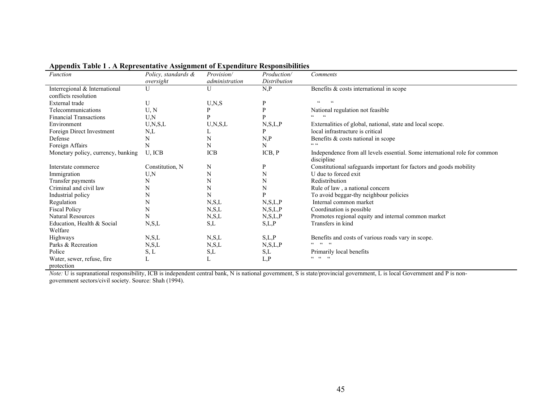| <b>Function</b>                    | Policy, standards &<br>oversight | Provision/<br>administration | Production/<br>Distribution | Comments                                                                                 |
|------------------------------------|----------------------------------|------------------------------|-----------------------------|------------------------------------------------------------------------------------------|
| Interregional & International      | U                                | U                            | N, P                        | Benefits & costs international in scope                                                  |
| conflicts resolution               |                                  |                              |                             | $\epsilon$<br>$\zeta$ $\zeta$                                                            |
| External trade                     | U                                | U, N, S                      | P                           |                                                                                          |
| Telecommunications                 | U, N                             | P                            | P                           | National regulation not feasible                                                         |
| <b>Financial Transactions</b>      | U, N                             | P                            | D                           | $\epsilon\,\epsilon$                                                                     |
| Environment                        | U,N,S,L                          | U,N,S,L                      | N, S, L, P                  | Externalities of global, national, state and local scope.                                |
| Foreign Direct Investment          | N,L                              | L                            | D                           | local infrastructure is critical                                                         |
| Defense                            | N                                | N                            | N, P                        | Benefits & costs national in scope                                                       |
| Foreign Affairs                    | N                                | N                            | N                           | CC                                                                                       |
| Monetary policy, currency, banking | U, ICB                           | ICB                          | ICB, P                      | Independence from all levels essential. Some international role for common<br>discipline |
| Interstate commerce                | Constitution, N                  | N                            | P                           | Constitutional safeguards important for factors and goods mobility                       |
| Immigration                        | U, N                             | N                            | N                           | U due to forced exit                                                                     |
| Transfer payments                  | N                                | N                            | N                           | Redistribution                                                                           |
| Criminal and civil law             | N                                | N                            | N                           | Rule of law, a national concern                                                          |
| Industrial policy                  | N                                | N                            |                             | To avoid beggar-thy neighbour policies                                                   |
| Regulation                         | N                                | N, S, L                      | N, S, L, P                  | Internal common market                                                                   |
| <b>Fiscal Policy</b>               | N                                | N, S, L                      | N, S, L, P                  | Coordination is possible                                                                 |
| Natural Resources                  | N                                | N, S, L                      | N, S, L, P                  | Promotes regional equity and internal common market                                      |
| Education, Health & Social         | N, S, L                          | S,L                          | S,L,P                       | Transfers in kind                                                                        |
| Welfare                            |                                  |                              |                             |                                                                                          |
| Highways                           | N, S, L                          | N, S, L                      | S,L,P                       | Benefits and costs of various roads vary in scope.                                       |
| Parks & Recreation                 | N, S, L                          | N, S, L                      | N, S, L, P                  | $cc = cc = cc$                                                                           |
| Police                             | S, L                             | S,L                          | S,L                         | Primarily local benefits                                                                 |
| Water, sewer, refuse, fire         |                                  | L                            | L, P                        | $\begin{array}{cccccccccccccc} c & c & c & c & c & c \end{array}$                        |
| protection                         |                                  |                              |                             |                                                                                          |

# **Appendix Table 1 . A Representative Assignment of Expenditure Responsibilities**

*Note:* U is supranational responsibility, ICB is independent central bank, N is national government, S is state/provincial government, L is local Government and P is nongovernment sectors/civil society. Source: Shah (1994).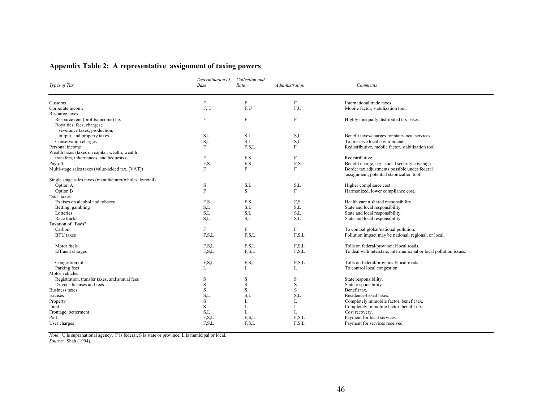|  |  | Appendix Table 2: A representative assignment of taxing powers |  |  |
|--|--|----------------------------------------------------------------|--|--|
|  |  |                                                                |  |  |

| Types of Tax                                                    | Determination of<br>Base | Collection and<br>Rate | Administration | Comments                                                                                   |
|-----------------------------------------------------------------|--------------------------|------------------------|----------------|--------------------------------------------------------------------------------------------|
| Customs                                                         | $\mathbf{F}$             | $\rm F$                | F              | International trade taxes.                                                                 |
| Corporate income                                                | F, U                     | F,U                    | F,U            | Mobile factor, stabilization tool.                                                         |
| Resource taxes                                                  |                          |                        |                |                                                                                            |
| Resource rent (profits/income) tax<br>Royalties, fees, charges; | F                        | F                      | $\rm F$        | Highly unequally distributed tax bases.                                                    |
| severance taxes; production,                                    |                          |                        |                |                                                                                            |
| output, and property taxes                                      | S,L                      | S,L                    | S,L            | Benefit taxes/charges for state-local services.                                            |
| Conservation charges                                            | S,L                      | S,L                    | S,L            | To preserve local environment.                                                             |
| Personal income                                                 | F                        | F.S.L                  | F              | Redistributive, mobile factor, stabilization tool.                                         |
| Wealth taxes (taxes on capital, wealth, wealth                  |                          |                        |                |                                                                                            |
| transfers, inheritances, and bequests)                          | F                        | F,S                    | F              | Redistributive.                                                                            |
| Payroll                                                         | F,S                      | F,S                    | F,S            | Benefit charge, e.g., social security coverage.                                            |
| Multi-stage sales taxes (value-added tax, [VAT])                | F                        | F                      | F              | Border tax adjustments possible under federal<br>assignment; potential stabilization tool. |
| Single stage sales taxes (manufacturer/wholesale/retail)        |                          |                        |                |                                                                                            |
| Option A                                                        | S                        | S,L                    | S,L            | Higher compliance cost.                                                                    |
| Option B                                                        | F                        | S                      | F              | Harmonized, lower compliance cost.                                                         |
| "Sin" taxes                                                     |                          |                        |                |                                                                                            |
| Excises on alcohol and tobacco                                  | F,S                      | F,S                    | F,S            | Health care a shared responsibility.                                                       |
| Betting, gambling                                               | S.L                      | S,L                    | S,L            | State and local responsibility.                                                            |
| Lotteries                                                       | S,L                      | S,L                    | S,L            | State and local responsibility.                                                            |
| Race tracks                                                     | S,L                      | S,L                    | S,L            | State and local responsibility.                                                            |
| Taxation of "Bads"                                              |                          |                        |                |                                                                                            |
| Carbon                                                          | F                        | F                      | F              | To combat global/national pollution.                                                       |
| <b>BTU</b> taxes                                                | F.S.L                    | F.S.L                  | F.S.L          | Pollution impact may be national, regional, or local.                                      |
|                                                                 |                          |                        |                |                                                                                            |
| Motor fuels                                                     | F.S.L                    | F.S.L                  | F.S.L          | Tolls on federal/provincial/local roads.                                                   |
| Effluent charges                                                | F.S.L                    | F.S.L                  | F.S.L          | To deal with interstate, intermunicipal or local pollution issues.                         |
|                                                                 |                          |                        |                |                                                                                            |
| Congestion tolls                                                | F, S, L                  | F, S, L                | F, S, L        | Tolls on federal/provincial/local roads.                                                   |
| Parking fees                                                    | L                        | L                      | L              | To control local congestion.                                                               |
| Motor vehicles                                                  |                          |                        |                |                                                                                            |
| Registration, transfer taxes, and annual fees                   | S                        | S                      | S              | State responsibility.                                                                      |
| Driver's licenses and fees                                      | S                        | S                      | S              | State responsibility                                                                       |
| <b>Business taxes</b>                                           | S                        | S                      | S              | Benefit tax.                                                                               |
| Excises                                                         | S,L                      | S,L                    | S,L            | Residence-based taxes.                                                                     |
| Property                                                        | S                        | L                      | L              | Completely immobile factor, benefit tax.                                                   |
| Land                                                            | S                        | L                      | L              | Completely immobile factor, benefit tax.                                                   |
| Frontage, betterment                                            | S,L                      | L                      | L              | Cost recovery.                                                                             |
| Poll                                                            | F, S, L                  | F.S.L                  | F.S.L          | Payment for local services.                                                                |
| User charges                                                    | F.S.L                    | F.S.L                  | F.S.L          | Payment for services received.                                                             |
|                                                                 |                          |                        |                |                                                                                            |

*Note*: U is supranational agency, F is federal, S is state or province, L is municipal or local. *Source:* Shah (1994).